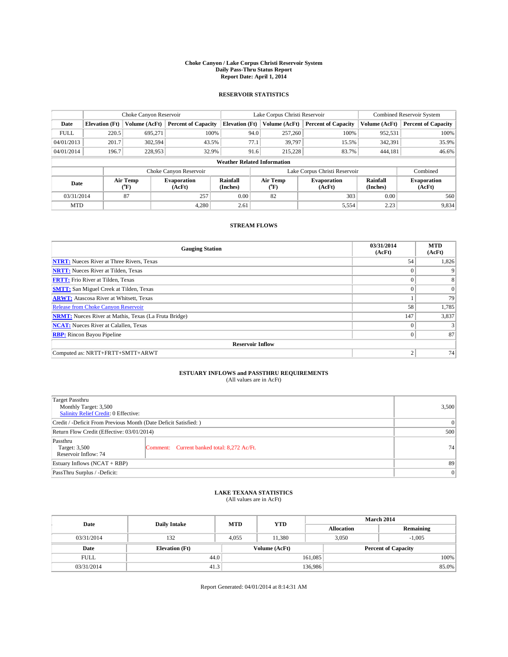#### **Choke Canyon / Lake Corpus Christi Reservoir System Daily Pass-Thru Status Report Report Date: April 1, 2014**

### **RESERVOIR STATISTICS**

|             | Choke Canyon Reservoir             |               |                              |                       | Lake Corpus Christi Reservoir | <b>Combined Reservoir System</b> |                      |                              |  |
|-------------|------------------------------------|---------------|------------------------------|-----------------------|-------------------------------|----------------------------------|----------------------|------------------------------|--|
| Date        | <b>Elevation</b> (Ft)              | Volume (AcFt) | <b>Percent of Capacity</b>   | <b>Elevation (Ft)</b> | Volume (AcFt)                 | <b>Percent of Capacity</b>       | Volume (AcFt)        | <b>Percent of Capacity</b>   |  |
| <b>FULL</b> | 220.5                              | 695,271       | 100%                         | 94.0                  | 257,260                       | 100%                             | 952,531              | 100%                         |  |
| 04/01/2013  | 201.7                              | 302,594       | 43.5%                        | 77.1                  | 39,797                        | 15.5%                            | 342,391              | 35.9%                        |  |
| 04/01/2014  | 196.7                              | 228,953       | 32.9%                        | 91.6                  | 215.228                       | 83.7%                            | 444.181              | 46.6%                        |  |
|             | <b>Weather Related Information</b> |               |                              |                       |                               |                                  |                      |                              |  |
|             |                                    |               | Choke Canyon Reservoir       |                       |                               | Lake Corpus Christi Reservoir    |                      | Combined                     |  |
| Date        | Air Temp<br>(°F)                   |               | <b>Evaporation</b><br>(AcFt) | Rainfall<br>(Inches)  | Air Temp<br>(°F)              | <b>Evaporation</b><br>(AcFt)     | Rainfall<br>(Inches) | <b>Evaporation</b><br>(AcFt) |  |
| 03/31/2014  |                                    | 87            | 257                          | 0.00                  | 82<br>303                     |                                  | 0.00                 | 560                          |  |
| <b>MTD</b>  |                                    |               | 4.280                        | 2.61                  |                               | 5,554                            | 2.23                 | 9,834                        |  |

## **STREAM FLOWS**

| <b>Gauging Station</b>                                       | 03/31/2014<br>(AcFt) | <b>MTD</b><br>(AcFt) |
|--------------------------------------------------------------|----------------------|----------------------|
| <b>NTRT:</b> Nueces River at Three Rivers, Texas             | 54                   | 1,826                |
| <b>NRTT:</b> Nueces River at Tilden, Texas                   | $\theta$             |                      |
| <b>FRTT:</b> Frio River at Tilden, Texas                     |                      | 8                    |
| <b>SMTT:</b> San Miguel Creek at Tilden, Texas               | $\theta$             | $\overline{0}$       |
| <b>ARWT:</b> Atascosa River at Whitsett, Texas               |                      | 79                   |
| <b>Release from Choke Canyon Reservoir</b>                   | 58                   | 1,785                |
| <b>NRMT:</b> Nueces River at Mathis, Texas (La Fruta Bridge) | 147                  | 3,837                |
| <b>NCAT:</b> Nueces River at Calallen, Texas                 | $\theta$             |                      |
| <b>RBP:</b> Rincon Bayou Pipeline                            | $\Omega$             | 87                   |
| <b>Reservoir Inflow</b>                                      |                      |                      |
| Computed as: NRTT+FRTT+SMTT+ARWT                             | $\overline{2}$       | 74                   |

# **ESTUARY INFLOWS and PASSTHRU REQUIREMENTS**<br>(All values are in AcFt)

| <b>Target Passthru</b><br>Monthly Target: 3,500<br>Salinity Relief Credit: 0 Effective: |                                             | 3,500 |  |  |
|-----------------------------------------------------------------------------------------|---------------------------------------------|-------|--|--|
| Credit / -Deficit From Previous Month (Date Deficit Satisfied: )                        |                                             |       |  |  |
| Return Flow Credit (Effective: 03/01/2014)                                              |                                             |       |  |  |
| Passthru<br>Target: 3,500<br>Reservoir Inflow: 74                                       | Comment: Current banked total: 8,272 Ac/Ft. | 74    |  |  |
| Estuary Inflows (NCAT + RBP)                                                            |                                             | 89    |  |  |
| PassThru Surplus / -Deficit:                                                            | 0                                           |       |  |  |

# **LAKE TEXANA STATISTICS** (All values are in AcFt)

| Date        | <b>Daily Intake</b>   | <b>MTD</b>    | <b>YTD</b> | March 2014        |                            |           |  |
|-------------|-----------------------|---------------|------------|-------------------|----------------------------|-----------|--|
|             |                       |               |            | <b>Allocation</b> |                            | Remaining |  |
| 03/31/2014  | 132                   | 4.055         | 11.380     |                   | 3,050<br>$-1.005$          |           |  |
| Date        | <b>Elevation</b> (Ft) | Volume (AcFt) |            |                   | <b>Percent of Capacity</b> |           |  |
| <b>FULL</b> | 44.0                  |               |            | 161,085           |                            | 100%      |  |
| 03/31/2014  | 41.3                  |               |            | 136,986           |                            | 85.0%     |  |

Report Generated: 04/01/2014 at 8:14:31 AM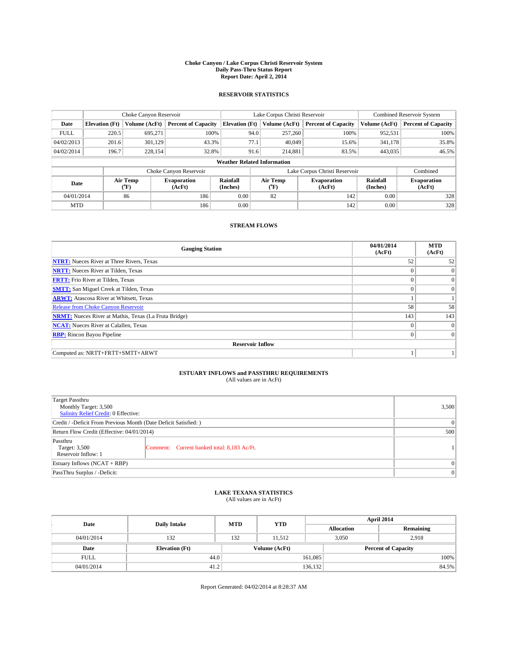#### **Choke Canyon / Lake Corpus Christi Reservoir System Daily Pass-Thru Status Report Report Date: April 2, 2014**

### **RESERVOIR STATISTICS**

|             | Choke Canyon Reservoir             |                  |                            |                       | Lake Corpus Christi Reservoir |                  |                               |                      | <b>Combined Reservoir System</b> |  |  |
|-------------|------------------------------------|------------------|----------------------------|-----------------------|-------------------------------|------------------|-------------------------------|----------------------|----------------------------------|--|--|
| Date        | <b>Elevation</b> (Ft)              | Volume (AcFt)    | <b>Percent of Capacity</b> | <b>Elevation (Ft)</b> |                               | Volume (AcFt)    | <b>Percent of Capacity</b>    | Volume (AcFt)        | Percent of Capacity              |  |  |
| <b>FULL</b> | 220.5                              | 695,271          | 100%                       |                       | 94.0                          | 257,260          | 100%                          | 952,531              | 100%                             |  |  |
| 04/02/2013  | 201.6                              | 301,129          | 43.3%                      |                       | 77.1                          | 40,049           | 15.6%                         | 341,178              | 35.8%                            |  |  |
| 04/02/2014  | 196.7                              | 228,154          | 32.8%                      |                       | 91.6                          | 214,881          | 83.5%                         | 443,035              | $46.5\%$                         |  |  |
|             | <b>Weather Related Information</b> |                  |                            |                       |                               |                  |                               |                      |                                  |  |  |
|             |                                    |                  | Choke Canyon Reservoir     |                       |                               |                  | Lake Corpus Christi Reservoir |                      | Combined                         |  |  |
| Date        |                                    | Air Temp<br>(°F) | Evaporation<br>(AcFt)      | Rainfall<br>(Inches)  |                               | Air Temp<br>("F) | <b>Evaporation</b><br>(AcFt)  | Rainfall<br>(Inches) | <b>Evaporation</b><br>(AcFt)     |  |  |
| 04/01/2014  |                                    | 86               | 186                        | 0.00                  |                               | 82               | 142                           | 0.00                 | 328                              |  |  |
| <b>MTD</b>  |                                    |                  | 186                        | 0.00                  |                               |                  | 142                           | 0.00                 | 328                              |  |  |

### **STREAM FLOWS**

| <b>Gauging Station</b>                                       | 04/01/2014<br>(AcFt) | <b>MTD</b><br>(AcFt) |  |  |  |  |
|--------------------------------------------------------------|----------------------|----------------------|--|--|--|--|
| <b>NTRT:</b> Nueces River at Three Rivers, Texas             | 52                   | 52                   |  |  |  |  |
| <b>NRTT:</b> Nueces River at Tilden, Texas                   |                      | $\mathbf{0}$         |  |  |  |  |
| <b>FRTT:</b> Frio River at Tilden, Texas                     |                      | $\overline{0}$       |  |  |  |  |
| <b>SMTT:</b> San Miguel Creek at Tilden, Texas               | $\theta$             | $\Omega$             |  |  |  |  |
| <b>ARWT:</b> Atascosa River at Whitsett, Texas               |                      |                      |  |  |  |  |
| <b>Release from Choke Canyon Reservoir</b>                   | 58                   | 58                   |  |  |  |  |
| <b>NRMT:</b> Nueces River at Mathis, Texas (La Fruta Bridge) | 143                  | 143                  |  |  |  |  |
| <b>NCAT:</b> Nueces River at Calallen, Texas                 | $\theta$             | $\overline{0}$       |  |  |  |  |
| <b>RBP:</b> Rincon Bayou Pipeline                            | $\theta$             | $\Omega$             |  |  |  |  |
| <b>Reservoir Inflow</b>                                      |                      |                      |  |  |  |  |
| Computed as: NRTT+FRTT+SMTT+ARWT                             |                      |                      |  |  |  |  |

# **ESTUARY INFLOWS and PASSTHRU REQUIREMENTS**<br>(All values are in AcFt)

| Target Passthru<br>Monthly Target: 3,500<br>Salinity Relief Credit: 0 Effective: |                                             | 3,500    |  |  |
|----------------------------------------------------------------------------------|---------------------------------------------|----------|--|--|
| Credit / -Deficit From Previous Month (Date Deficit Satisfied: )                 |                                             |          |  |  |
| Return Flow Credit (Effective: 04/01/2014)                                       |                                             |          |  |  |
| Passthru<br>Target: 3,500<br>Reservoir Inflow: 1                                 | Comment: Current banked total: 8,183 Ac/Ft. |          |  |  |
| Estuary Inflows (NCAT + RBP)                                                     |                                             | $\Omega$ |  |  |
| PassThru Surplus / -Deficit:                                                     |                                             | $\Omega$ |  |  |

# **LAKE TEXANA STATISTICS** (All values are in AcFt)

| Date        | <b>Daily Intake</b>   | <b>MTD</b> | <b>YTD</b>    | April 2014        |                            |           |  |
|-------------|-----------------------|------------|---------------|-------------------|----------------------------|-----------|--|
|             |                       |            |               | <b>Allocation</b> |                            | Remaining |  |
| 04/01/2014  | 132                   | 132        | 11.512        | 3,050             | 2,918                      |           |  |
| Date        | <b>Elevation</b> (Ft) |            | Volume (AcFt) |                   | <b>Percent of Capacity</b> |           |  |
| <b>FULL</b> | 44.0                  |            |               | 161,085           |                            | 100%      |  |
| 04/01/2014  | 41.2                  |            |               | 136,132           |                            | 84.5%     |  |

Report Generated: 04/02/2014 at 8:28:37 AM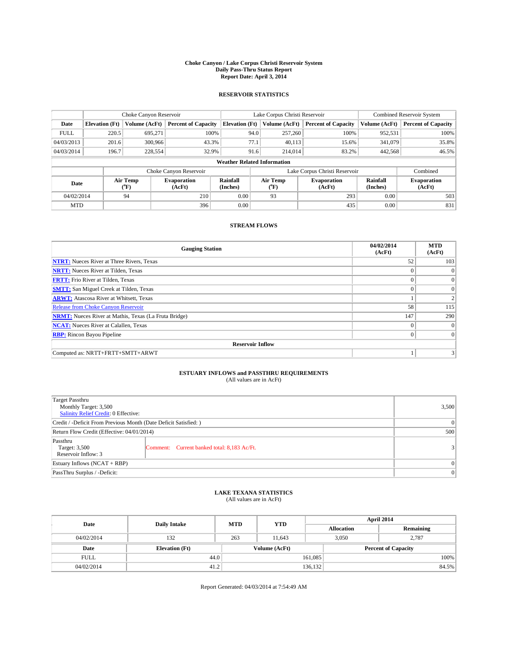#### **Choke Canyon / Lake Corpus Christi Reservoir System Daily Pass-Thru Status Report Report Date: April 3, 2014**

### **RESERVOIR STATISTICS**

|             | Choke Canyon Reservoir             |                  |                            |                       | Lake Corpus Christi Reservoir |                              |                               |                      | <b>Combined Reservoir System</b> |  |  |
|-------------|------------------------------------|------------------|----------------------------|-----------------------|-------------------------------|------------------------------|-------------------------------|----------------------|----------------------------------|--|--|
| Date        | <b>Elevation</b> (Ft)              | Volume (AcFt)    | <b>Percent of Capacity</b> | <b>Elevation (Ft)</b> | Volume (AcFt)                 |                              | <b>Percent of Capacity</b>    | Volume (AcFt)        | Percent of Capacity              |  |  |
| <b>FULL</b> | 220.5                              | 695,271          | 100%                       |                       | 94.0                          | 257,260                      | 100%                          | 952,531              | 100%                             |  |  |
| 04/03/2013  | 201.6                              | 300,966          | 43.3%                      | 77.1                  |                               | 40,113                       | 15.6%                         | 341,079              | 35.8%                            |  |  |
| 04/03/2014  | 196.7                              | 228,554          | 32.9%                      |                       | 91.6                          | 214,014                      | 83.2%                         | 442,568              | $46.5\%$                         |  |  |
|             | <b>Weather Related Information</b> |                  |                            |                       |                               |                              |                               |                      |                                  |  |  |
|             |                                    |                  | Choke Canyon Reservoir     |                       |                               |                              | Lake Corpus Christi Reservoir |                      | Combined                         |  |  |
| Date        |                                    | Air Temp<br>(°F) | Evaporation<br>(AcFt)      | Rainfall<br>(Inches)  | Air Temp<br>("F)              | <b>Evaporation</b><br>(AcFt) |                               | Rainfall<br>(Inches) | <b>Evaporation</b><br>(AcFt)     |  |  |
| 04/02/2014  |                                    | 94               | 210                        | 0.00<br>93            |                               |                              | 293<br>0.00                   |                      | 503                              |  |  |
| <b>MTD</b>  |                                    |                  | 396                        | 0.00                  |                               |                              | 435                           | 0.00                 | 831                              |  |  |

## **STREAM FLOWS**

| <b>Gauging Station</b>                                       | 04/02/2014<br>(AcFt) | <b>MTD</b><br>(AcFt) |
|--------------------------------------------------------------|----------------------|----------------------|
| <b>NTRT:</b> Nueces River at Three Rivers, Texas             | 52                   | 103                  |
| <b>NRTT:</b> Nueces River at Tilden, Texas                   | $\theta$             | $\Omega$             |
| <b>FRTT:</b> Frio River at Tilden, Texas                     |                      | $\overline{0}$       |
| <b>SMTT:</b> San Miguel Creek at Tilden, Texas               | $\theta$             | $\overline{0}$       |
| <b>ARWT:</b> Atascosa River at Whitsett, Texas               |                      | $\overline{c}$       |
| <b>Release from Choke Canyon Reservoir</b>                   | 58                   | 115                  |
| <b>NRMT:</b> Nueces River at Mathis, Texas (La Fruta Bridge) | 147                  | 290                  |
| <b>NCAT:</b> Nueces River at Calallen, Texas                 | $\theta$             | $\overline{0}$       |
| <b>RBP:</b> Rincon Bayou Pipeline                            | $\theta$             | $\Omega$             |
| <b>Reservoir Inflow</b>                                      |                      |                      |
| Computed as: NRTT+FRTT+SMTT+ARWT                             |                      |                      |

# **ESTUARY INFLOWS and PASSTHRU REQUIREMENTS**<br>(All values are in AcFt)

| <b>Target Passthru</b><br>Monthly Target: 3,500<br>Salinity Relief Credit: 0 Effective: |                                             | 3,500 |  |  |
|-----------------------------------------------------------------------------------------|---------------------------------------------|-------|--|--|
| Credit / -Deficit From Previous Month (Date Deficit Satisfied: )                        |                                             |       |  |  |
| Return Flow Credit (Effective: 04/01/2014)                                              |                                             |       |  |  |
| Passthru<br>Target: 3,500<br>Reservoir Inflow: 3                                        | Comment: Current banked total: 8,183 Ac/Ft. | 31    |  |  |
| Estuary Inflows (NCAT + RBP)                                                            |                                             |       |  |  |
| PassThru Surplus / -Deficit:                                                            |                                             |       |  |  |

# **LAKE TEXANA STATISTICS** (All values are in AcFt)

| Date        | <b>Daily Intake</b>   | <b>MTD</b>    | <b>YTD</b> | April 2014        |                            |           |  |
|-------------|-----------------------|---------------|------------|-------------------|----------------------------|-----------|--|
|             |                       |               |            | <b>Allocation</b> |                            | Remaining |  |
| 04/02/2014  | 132                   | 263           | 11.643     | 3,050             |                            | 2,787     |  |
| Date        | <b>Elevation</b> (Ft) | Volume (AcFt) |            |                   | <b>Percent of Capacity</b> |           |  |
| <b>FULL</b> | 44.0                  |               |            | 161,085           |                            | 100%      |  |
| 04/02/2014  | 41.2                  |               |            | 136,132           |                            | 84.5%     |  |

Report Generated: 04/03/2014 at 7:54:49 AM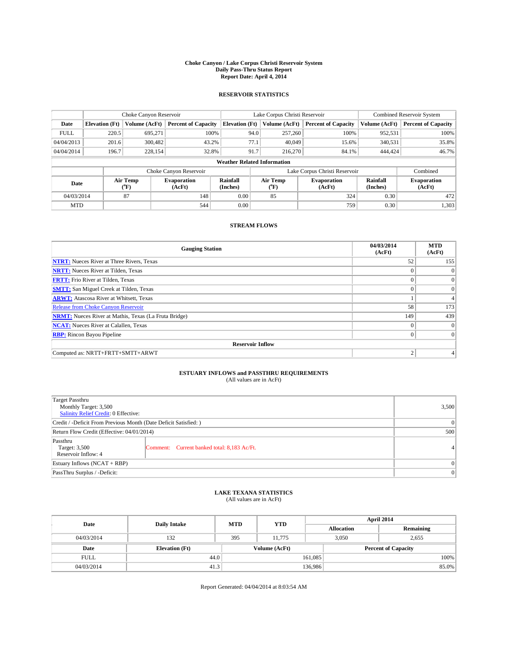#### **Choke Canyon / Lake Corpus Christi Reservoir System Daily Pass-Thru Status Report Report Date: April 4, 2014**

### **RESERVOIR STATISTICS**

|             | Choke Canyon Reservoir |                  | Lake Corpus Christi Reservoir |                                    |                               |                  | <b>Combined Reservoir System</b> |                      |                              |
|-------------|------------------------|------------------|-------------------------------|------------------------------------|-------------------------------|------------------|----------------------------------|----------------------|------------------------------|
| Date        | <b>Elevation</b> (Ft)  | Volume (AcFt)    | <b>Percent of Capacity</b>    | <b>Elevation (Ft)</b>              |                               | Volume (AcFt)    | <b>Percent of Capacity</b>       | Volume (AcFt)        | <b>Percent of Capacity</b>   |
| <b>FULL</b> | 220.5                  | 695,271          | 100%                          |                                    | 94.0                          | 257,260          | 100%                             | 952,531              | 100%                         |
| 04/04/2013  | 201.6                  | 300,482          | 43.2%                         |                                    | 77.1                          | 40.049           | 15.6%                            | 340,531              | 35.8%                        |
| 04/04/2014  | 196.7                  | 228,154          | 32.8%                         |                                    | 91.7                          | 216,270          | 84.1%                            | 444,424              | 46.7%                        |
|             |                        |                  |                               | <b>Weather Related Information</b> |                               |                  |                                  |                      |                              |
|             |                        |                  | Choke Canyon Reservoir        |                                    | Lake Corpus Christi Reservoir |                  |                                  |                      | Combined                     |
| Date        |                        | Air Temp<br>(°F) | <b>Evaporation</b><br>(AcFt)  | Rainfall<br>(Inches)               |                               | Air Temp<br>(°F) | <b>Evaporation</b><br>(AcFt)     | Rainfall<br>(Inches) | <b>Evaporation</b><br>(AcFt) |
| 04/03/2014  |                        | 87               | 148                           | 0.00                               |                               | 85               | 324                              | 0.30                 | 472                          |
| <b>MTD</b>  |                        |                  | 544                           | 0.00                               |                               |                  | 759                              | 0.30                 | 1,303                        |

## **STREAM FLOWS**

| <b>Gauging Station</b>                                       | 04/03/2014<br>(AcFt) | <b>MTD</b><br>(AcFt) |  |  |  |  |  |
|--------------------------------------------------------------|----------------------|----------------------|--|--|--|--|--|
| <b>NTRT:</b> Nueces River at Three Rivers, Texas             | 52                   | 155                  |  |  |  |  |  |
| <b>NRTT:</b> Nueces River at Tilden, Texas                   |                      | $\mathbf{0}$         |  |  |  |  |  |
| <b>FRTT:</b> Frio River at Tilden, Texas                     |                      | $\overline{0}$       |  |  |  |  |  |
| <b>SMTT:</b> San Miguel Creek at Tilden, Texas               |                      | $\Omega$             |  |  |  |  |  |
| <b>ARWT:</b> Atascosa River at Whitsett, Texas               |                      |                      |  |  |  |  |  |
| <b>Release from Choke Canyon Reservoir</b>                   | 58                   | 173                  |  |  |  |  |  |
| <b>NRMT:</b> Nueces River at Mathis, Texas (La Fruta Bridge) | 149                  | 439                  |  |  |  |  |  |
| <b>NCAT:</b> Nueces River at Calallen, Texas                 | $\theta$             | $\overline{0}$       |  |  |  |  |  |
| <b>RBP:</b> Rincon Bayou Pipeline                            | $\theta$             | $\Omega$             |  |  |  |  |  |
| <b>Reservoir Inflow</b>                                      |                      |                      |  |  |  |  |  |
| Computed as: NRTT+FRTT+SMTT+ARWT                             | $\overline{c}$       |                      |  |  |  |  |  |

# **ESTUARY INFLOWS and PASSTHRU REQUIREMENTS**<br>(All values are in AcFt)

| <b>Target Passthru</b><br>Monthly Target: 3,500<br>Salinity Relief Credit: 0 Effective: |                                             | 3,500   |  |  |
|-----------------------------------------------------------------------------------------|---------------------------------------------|---------|--|--|
| Credit / -Deficit From Previous Month (Date Deficit Satisfied: )                        |                                             |         |  |  |
| Return Flow Credit (Effective: 04/01/2014)                                              |                                             |         |  |  |
| Passthru<br>Target: 3,500<br>Reservoir Inflow: 4                                        | Comment: Current banked total: 8,183 Ac/Ft. | $\vert$ |  |  |
| Estuary Inflows (NCAT + RBP)                                                            | $\Omega$                                    |         |  |  |
| PassThru Surplus / -Deficit:                                                            | $\Omega$                                    |         |  |  |

# **LAKE TEXANA STATISTICS** (All values are in AcFt)

| Date        | <b>Daily Intake</b>   | <b>MTD</b> | <b>YTD</b>    | April 2014        |                            |  |  |
|-------------|-----------------------|------------|---------------|-------------------|----------------------------|--|--|
|             |                       |            |               | <b>Allocation</b> | Remaining                  |  |  |
| 04/03/2014  | 132                   | 395        | 11.775        | 3,050             | 2,655                      |  |  |
| Date        | <b>Elevation</b> (Ft) |            | Volume (AcFt) |                   | <b>Percent of Capacity</b> |  |  |
| <b>FULL</b> | 44.0                  |            |               | 161,085           | 100%                       |  |  |
| 04/03/2014  | 41.3                  |            |               | 136,986           | 85.0%                      |  |  |

Report Generated: 04/04/2014 at 8:03:54 AM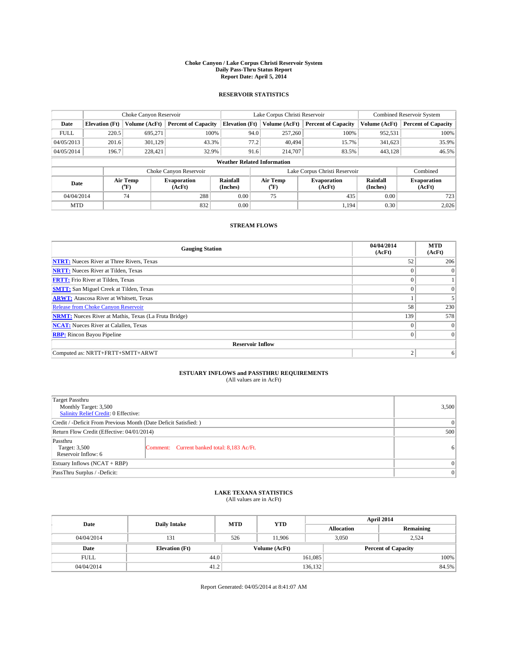#### **Choke Canyon / Lake Corpus Christi Reservoir System Daily Pass-Thru Status Report Report Date: April 5, 2014**

### **RESERVOIR STATISTICS**

|             |                                    | Choke Canyon Reservoir |                              |                       | Lake Corpus Christi Reservoir | <b>Combined Reservoir System</b> |                      |                              |  |  |
|-------------|------------------------------------|------------------------|------------------------------|-----------------------|-------------------------------|----------------------------------|----------------------|------------------------------|--|--|
| Date        | <b>Elevation</b> (Ft)              | Volume (AcFt)          | <b>Percent of Capacity</b>   | <b>Elevation (Ft)</b> | Volume (AcFt)                 | <b>Percent of Capacity</b>       | Volume (AcFt)        | <b>Percent of Capacity</b>   |  |  |
| <b>FULL</b> | 220.5                              | 695,271                | 100%                         | 94.0                  | 257,260                       | 100%                             | 952,531              | 100%                         |  |  |
| 04/05/2013  | 201.6                              | 301,129                | 43.3%                        | 77.2                  | 40,494                        | 15.7%                            | 341,623              | 35.9%                        |  |  |
| 04/05/2014  | 196.7                              | 228,421                | 32.9%                        | 91.6                  | 214,707                       | 83.5%                            | 443,128              | 46.5%                        |  |  |
|             | <b>Weather Related Information</b> |                        |                              |                       |                               |                                  |                      |                              |  |  |
|             |                                    |                        | Choke Canyon Reservoir       |                       | Lake Corpus Christi Reservoir |                                  | Combined             |                              |  |  |
| Date        |                                    | Air Temp<br>(°F)       | <b>Evaporation</b><br>(AcFt) | Rainfall<br>(Inches)  | Air Temp<br>(°F)              | <b>Evaporation</b><br>(AcFt)     | Rainfall<br>(Inches) | <b>Evaporation</b><br>(AcFt) |  |  |
| 04/04/2014  |                                    | 74                     | 288                          | 0.00                  | 75                            | 435                              | 0.00                 | 723                          |  |  |
| <b>MTD</b>  |                                    |                        | 832                          | 0.00                  |                               | 1,194                            | 0.30                 | 2,026                        |  |  |

## **STREAM FLOWS**

| <b>Gauging Station</b>                                       | 04/04/2014<br>(AcFt) | <b>MTD</b><br>(AcFt) |  |  |  |  |  |
|--------------------------------------------------------------|----------------------|----------------------|--|--|--|--|--|
| <b>NTRT:</b> Nueces River at Three Rivers, Texas             | 52                   | 206                  |  |  |  |  |  |
| <b>NRTT:</b> Nueces River at Tilden, Texas                   | $\theta$             | $\theta$             |  |  |  |  |  |
| <b>FRTT:</b> Frio River at Tilden, Texas                     |                      |                      |  |  |  |  |  |
| <b>SMTT:</b> San Miguel Creek at Tilden, Texas               | $\theta$             | $\overline{0}$       |  |  |  |  |  |
| <b>ARWT:</b> Atascosa River at Whitsett, Texas               |                      |                      |  |  |  |  |  |
| <b>Release from Choke Canyon Reservoir</b>                   | 58                   | 230                  |  |  |  |  |  |
| <b>NRMT:</b> Nueces River at Mathis, Texas (La Fruta Bridge) | 139                  | 578                  |  |  |  |  |  |
| <b>NCAT:</b> Nueces River at Calallen, Texas                 | $\theta$             | $\overline{0}$       |  |  |  |  |  |
| <b>RBP:</b> Rincon Bayou Pipeline                            | $\theta$             | $\Omega$             |  |  |  |  |  |
| <b>Reservoir Inflow</b>                                      |                      |                      |  |  |  |  |  |
| Computed as: NRTT+FRTT+SMTT+ARWT                             | $\overline{c}$       | 6                    |  |  |  |  |  |

# **ESTUARY INFLOWS and PASSTHRU REQUIREMENTS**<br>(All values are in AcFt)

| <b>Target Passthru</b><br>Monthly Target: 3,500<br>Salinity Relief Credit: 0 Effective: |                                             | 3,500          |  |  |
|-----------------------------------------------------------------------------------------|---------------------------------------------|----------------|--|--|
| Credit / -Deficit From Previous Month (Date Deficit Satisfied: )                        |                                             |                |  |  |
| Return Flow Credit (Effective: 04/01/2014)                                              |                                             |                |  |  |
| Passthru<br>Target: 3,500<br>Reservoir Inflow: 6                                        | Comment: Current banked total: 8,183 Ac/Ft. | 6 <sup>1</sup> |  |  |
| Estuary Inflows (NCAT + RBP)                                                            |                                             |                |  |  |
| PassThru Surplus / -Deficit:                                                            | $\Omega$                                    |                |  |  |

# **LAKE TEXANA STATISTICS** (All values are in AcFt)

| Date        | <b>Daily Intake</b>   | <b>MTD</b>    | <b>YTD</b> | April 2014        |                            |           |       |
|-------------|-----------------------|---------------|------------|-------------------|----------------------------|-----------|-------|
|             |                       |               |            | <b>Allocation</b> |                            | Remaining |       |
| 04/04/2014  | 131                   | 526           | 11.906     |                   | 3,050<br>2,524             |           |       |
| Date        | <b>Elevation</b> (Ft) | Volume (AcFt) |            |                   | <b>Percent of Capacity</b> |           |       |
| <b>FULL</b> | 44.0                  |               |            | 161,085           |                            |           | 100%  |
| 04/04/2014  | 41.2                  |               |            | 136,132           |                            |           | 84.5% |

Report Generated: 04/05/2014 at 8:41:07 AM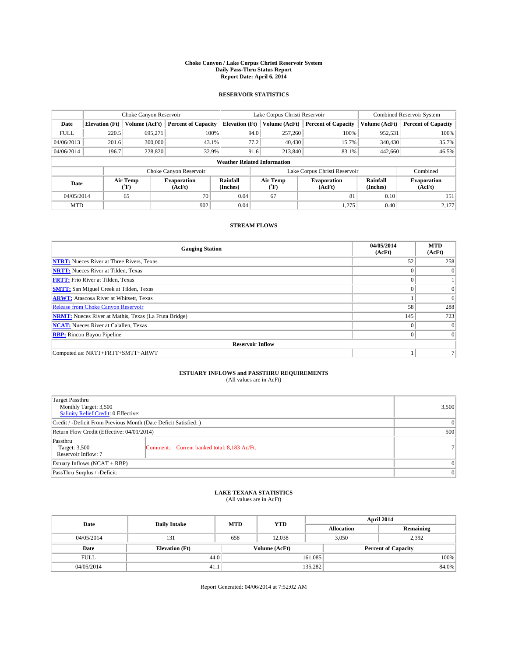#### **Choke Canyon / Lake Corpus Christi Reservoir System Daily Pass-Thru Status Report Report Date: April 6, 2014**

### **RESERVOIR STATISTICS**

|             |                                    | Choke Canyon Reservoir |                              |                       | Lake Corpus Christi Reservoir | <b>Combined Reservoir System</b> |                      |                              |  |
|-------------|------------------------------------|------------------------|------------------------------|-----------------------|-------------------------------|----------------------------------|----------------------|------------------------------|--|
| Date        | <b>Elevation</b> (Ft)              | Volume (AcFt)          | <b>Percent of Capacity</b>   | <b>Elevation (Ft)</b> | Volume (AcFt)                 | <b>Percent of Capacity</b>       | Volume (AcFt)        | <b>Percent of Capacity</b>   |  |
| <b>FULL</b> | 220.5                              | 695.271                | 100%                         | 94.0                  | 257,260                       | 100%                             | 952,531              | 100%                         |  |
| 04/06/2013  | 201.6                              | 300,000                | 43.1%                        | 77.2                  | 40,430                        | 15.7%                            | 340,430              | 35.7%                        |  |
| 04/06/2014  | 196.7                              | 228,820                | 32.9%                        | 91.6                  | 213,840                       | 83.1%                            | 442,660              | 46.5%                        |  |
|             | <b>Weather Related Information</b> |                        |                              |                       |                               |                                  |                      |                              |  |
|             |                                    |                        | Choke Canyon Reservoir       |                       | Lake Corpus Christi Reservoir |                                  | Combined             |                              |  |
| Date        |                                    | Air Temp<br>(°F)       | <b>Evaporation</b><br>(AcFt) | Rainfall<br>(Inches)  | Air Temp<br>$(^{0}F)$         | <b>Evaporation</b><br>(AcFt)     | Rainfall<br>(Inches) | <b>Evaporation</b><br>(AcFt) |  |
| 04/05/2014  |                                    | 65                     | 70                           | 0.04                  | 67                            | 81                               | 0.10                 | 151                          |  |
| <b>MTD</b>  |                                    |                        | 902                          | 0.04                  |                               | 1,275                            | 0.40                 | 2,177                        |  |

## **STREAM FLOWS**

| <b>Gauging Station</b>                                       | 04/05/2014<br>(AcFt) | <b>MTD</b><br>(AcFt) |  |  |  |  |  |
|--------------------------------------------------------------|----------------------|----------------------|--|--|--|--|--|
| <b>NTRT:</b> Nueces River at Three Rivers, Texas             | 52                   | 258                  |  |  |  |  |  |
| <b>NRTT:</b> Nueces River at Tilden, Texas                   | $\theta$             | $\Omega$             |  |  |  |  |  |
| <b>FRTT:</b> Frio River at Tilden, Texas                     |                      |                      |  |  |  |  |  |
| <b>SMTT:</b> San Miguel Creek at Tilden, Texas               | $\theta$             | $\overline{0}$       |  |  |  |  |  |
| <b>ARWT:</b> Atascosa River at Whitsett, Texas               |                      | 6                    |  |  |  |  |  |
| <b>Release from Choke Canyon Reservoir</b>                   | 58                   | 288                  |  |  |  |  |  |
| <b>NRMT:</b> Nueces River at Mathis, Texas (La Fruta Bridge) | 145                  | 723                  |  |  |  |  |  |
| <b>NCAT:</b> Nueces River at Calallen, Texas                 | $\theta$             | $\overline{0}$       |  |  |  |  |  |
| <b>RBP:</b> Rincon Bayou Pipeline                            | $\theta$             | $\Omega$             |  |  |  |  |  |
| <b>Reservoir Inflow</b>                                      |                      |                      |  |  |  |  |  |
| Computed as: NRTT+FRTT+SMTT+ARWT                             |                      |                      |  |  |  |  |  |

# **ESTUARY INFLOWS and PASSTHRU REQUIREMENTS**<br>(All values are in AcFt)

| <b>Target Passthru</b><br>Monthly Target: 3,500<br>Salinity Relief Credit: 0 Effective: |                                             | 3,500 |  |  |
|-----------------------------------------------------------------------------------------|---------------------------------------------|-------|--|--|
| Credit / -Deficit From Previous Month (Date Deficit Satisfied: )                        |                                             |       |  |  |
| Return Flow Credit (Effective: 04/01/2014)                                              |                                             |       |  |  |
| Passthru<br>Target: 3,500<br>Reservoir Inflow: 7                                        | Comment: Current banked total: 8,183 Ac/Ft. | 71    |  |  |
| Estuary Inflows (NCAT + RBP)                                                            |                                             |       |  |  |
| PassThru Surplus / -Deficit:                                                            |                                             |       |  |  |

## **LAKE TEXANA STATISTICS** (All values are in AcFt)

| Date        | <b>Daily Intake</b>   | <b>MTD</b>    | <b>YTD</b> | April 2014        |                            |           |       |
|-------------|-----------------------|---------------|------------|-------------------|----------------------------|-----------|-------|
|             |                       |               |            | <b>Allocation</b> |                            | Remaining |       |
| 04/05/2014  | 131                   | 658           | 12.038     |                   | 3,050<br>2,392             |           |       |
| Date        | <b>Elevation</b> (Ft) | Volume (AcFt) |            |                   | <b>Percent of Capacity</b> |           |       |
| <b>FULL</b> | 44.0                  |               |            | 161,085           |                            |           | 100%  |
| 04/05/2014  | 41.1                  |               |            | 135,282           |                            |           | 84.0% |

Report Generated: 04/06/2014 at 7:52:02 AM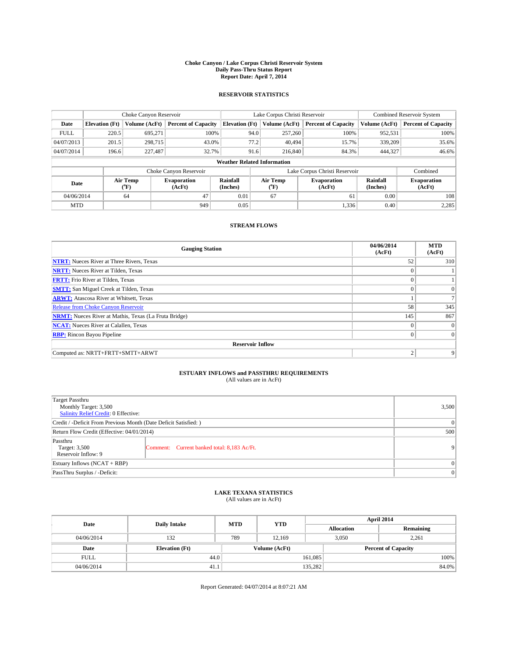#### **Choke Canyon / Lake Corpus Christi Reservoir System Daily Pass-Thru Status Report Report Date: April 7, 2014**

### **RESERVOIR STATISTICS**

|             | Choke Canyon Reservoir             |                  |                              |                       | Lake Corpus Christi Reservoir |                  |                               |                      | <b>Combined Reservoir System</b> |  |  |
|-------------|------------------------------------|------------------|------------------------------|-----------------------|-------------------------------|------------------|-------------------------------|----------------------|----------------------------------|--|--|
| Date        | <b>Elevation</b> (Ft)              | Volume (AcFt)    | <b>Percent of Capacity</b>   | <b>Elevation (Ft)</b> |                               | Volume (AcFt)    | <b>Percent of Capacity</b>    | Volume (AcFt)        | <b>Percent of Capacity</b>       |  |  |
| <b>FULL</b> | 220.5                              | 695,271          | 100%                         |                       | 94.0                          | 257,260          | 100%                          | 952,531              | 100%                             |  |  |
| 04/07/2013  | 201.5                              | 298,715          | 43.0%                        |                       | 77.2                          | 40,494           | 15.7%                         | 339,209              | 35.6%                            |  |  |
| 04/07/2014  | 196.6                              | 227,487          | 32.7%                        |                       | 91.6                          | 216,840          | 84.3%                         | 444,327              | 46.6%                            |  |  |
|             | <b>Weather Related Information</b> |                  |                              |                       |                               |                  |                               |                      |                                  |  |  |
|             |                                    |                  | Choke Canyon Reservoir       |                       |                               |                  | Lake Corpus Christi Reservoir |                      | Combined                         |  |  |
| Date        |                                    | Air Temp<br>(°F) | <b>Evaporation</b><br>(AcFt) | Rainfall<br>(Inches)  |                               | Air Temp<br>(°F) | <b>Evaporation</b><br>(AcFt)  | Rainfall<br>(Inches) | <b>Evaporation</b><br>(AcFt)     |  |  |
| 04/06/2014  |                                    | 64               | 47                           | 0.01                  |                               | 67               | 61                            | 0.00                 | 108                              |  |  |
| <b>MTD</b>  |                                    |                  | 949                          | 0.05                  |                               |                  | 1,336                         | 0.40                 | 2,285                            |  |  |

### **STREAM FLOWS**

| <b>Gauging Station</b>                                       | 04/06/2014<br>(AcFt) | <b>MTD</b><br>(AcFt) |
|--------------------------------------------------------------|----------------------|----------------------|
| <b>NTRT:</b> Nueces River at Three Rivers, Texas             | 52                   | 310                  |
| <b>NRTT:</b> Nueces River at Tilden, Texas                   |                      |                      |
| <b>FRTT:</b> Frio River at Tilden, Texas                     |                      |                      |
| <b>SMTT:</b> San Miguel Creek at Tilden, Texas               | $\theta$             | $\Omega$             |
| <b>ARWT:</b> Atascosa River at Whitsett, Texas               |                      |                      |
| <b>Release from Choke Canyon Reservoir</b>                   | 58                   | 345                  |
| <b>NRMT:</b> Nueces River at Mathis, Texas (La Fruta Bridge) | 145                  | 867                  |
| <b>NCAT:</b> Nueces River at Calallen, Texas                 | $\theta$             | $\overline{0}$       |
| <b>RBP:</b> Rincon Bayou Pipeline                            | $\theta$             | $\Omega$             |
| <b>Reservoir Inflow</b>                                      |                      |                      |
| Computed as: NRTT+FRTT+SMTT+ARWT                             | $\overline{c}$       | 9                    |

# **ESTUARY INFLOWS and PASSTHRU REQUIREMENTS**<br>(All values are in AcFt)

| <b>Target Passthru</b><br>Monthly Target: 3,500<br>Salinity Relief Credit: 0 Effective: |                                             | 3,500           |  |  |
|-----------------------------------------------------------------------------------------|---------------------------------------------|-----------------|--|--|
| Credit / -Deficit From Previous Month (Date Deficit Satisfied: )                        |                                             |                 |  |  |
| Return Flow Credit (Effective: 04/01/2014)                                              |                                             |                 |  |  |
| Passthru<br>Target: 3,500<br>Reservoir Inflow: 9                                        | Comment: Current banked total: 8,183 Ac/Ft. | $\vert 9 \vert$ |  |  |
| Estuary Inflows (NCAT + RBP)                                                            |                                             | $\Omega$        |  |  |
| PassThru Surplus / -Deficit:                                                            |                                             | $\Omega$        |  |  |

# **LAKE TEXANA STATISTICS** (All values are in AcFt)

| Date        | <b>Daily Intake</b>   | <b>MTD</b> | <b>YTD</b>    | April 2014        |                            |           |  |
|-------------|-----------------------|------------|---------------|-------------------|----------------------------|-----------|--|
|             |                       |            |               | <b>Allocation</b> |                            | Remaining |  |
| 04/06/2014  | 132                   | 789        | 12,169        |                   | 3,050<br>2,261             |           |  |
| Date        | <b>Elevation</b> (Ft) |            | Volume (AcFt) |                   | <b>Percent of Capacity</b> |           |  |
| <b>FULL</b> | 44.0                  |            |               | 161,085           |                            | 100%      |  |
| 04/06/2014  | 41.1                  |            |               | 135,282           |                            | 84.0%     |  |

Report Generated: 04/07/2014 at 8:07:21 AM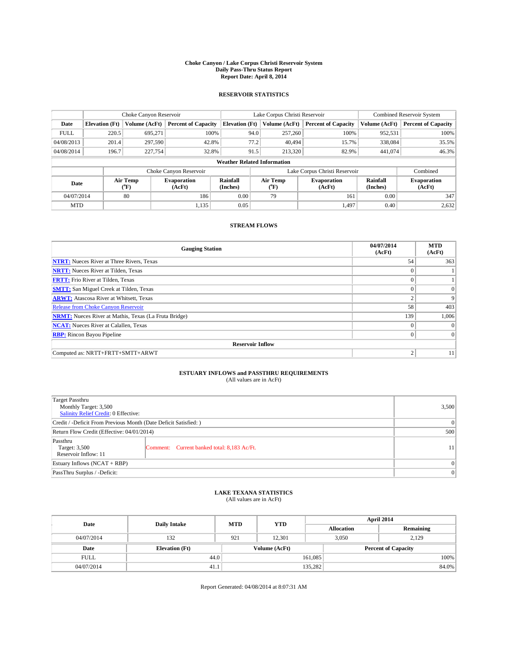#### **Choke Canyon / Lake Corpus Christi Reservoir System Daily Pass-Thru Status Report Report Date: April 8, 2014**

### **RESERVOIR STATISTICS**

|             | Choke Canyon Reservoir |                  |                              |                                    | Lake Corpus Christi Reservoir |                  |                               |                      | <b>Combined Reservoir System</b> |  |  |
|-------------|------------------------|------------------|------------------------------|------------------------------------|-------------------------------|------------------|-------------------------------|----------------------|----------------------------------|--|--|
| Date        | <b>Elevation</b> (Ft)  | Volume (AcFt)    | <b>Percent of Capacity</b>   | <b>Elevation (Ft)</b>              |                               | Volume (AcFt)    | <b>Percent of Capacity</b>    | Volume (AcFt)        | <b>Percent of Capacity</b>       |  |  |
| <b>FULL</b> | 220.5                  | 695,271          | 100%                         |                                    | 94.0                          | 257,260          | 100%                          | 952,531              | 100%                             |  |  |
| 04/08/2013  | 201.4                  | 297,590          | 42.8%                        |                                    | 77.2                          | 40.494           | 15.7%                         | 338,084              | 35.5%                            |  |  |
| 04/08/2014  | 196.7                  | 227,754          | 32.8%                        |                                    | 91.5                          | 213,320          | 82.9%                         | 441,074              | 46.3%                            |  |  |
|             |                        |                  |                              | <b>Weather Related Information</b> |                               |                  |                               |                      |                                  |  |  |
|             |                        |                  | Choke Canyon Reservoir       |                                    |                               |                  | Lake Corpus Christi Reservoir |                      | Combined                         |  |  |
| Date        |                        | Air Temp<br>(°F) | <b>Evaporation</b><br>(AcFt) | Rainfall<br>(Inches)               |                               | Air Temp<br>("F) | <b>Evaporation</b><br>(AcFt)  | Rainfall<br>(Inches) | <b>Evaporation</b><br>(AcFt)     |  |  |
| 04/07/2014  |                        | 80               | 186                          | 0.00                               |                               | 79               | 161                           | 0.00                 | 347                              |  |  |
| <b>MTD</b>  |                        |                  | 1,135                        | 0.05                               |                               |                  | 1.497                         | 0.40                 | 2,632                            |  |  |

## **STREAM FLOWS**

| <b>Gauging Station</b>                                       | 04/07/2014<br>(AcFt) | <b>MTD</b><br>(AcFt) |
|--------------------------------------------------------------|----------------------|----------------------|
| <b>NTRT:</b> Nueces River at Three Rivers, Texas             | 54                   | 363                  |
| <b>NRTT:</b> Nueces River at Tilden, Texas                   | $\theta$             |                      |
| <b>FRTT:</b> Frio River at Tilden, Texas                     |                      |                      |
| <b>SMTT:</b> San Miguel Creek at Tilden, Texas               | $\theta$             | $\overline{0}$       |
| <b>ARWT:</b> Atascosa River at Whitsett, Texas               | $\overline{c}$       | 9                    |
| <b>Release from Choke Canyon Reservoir</b>                   | 58                   | 403                  |
| <b>NRMT:</b> Nueces River at Mathis, Texas (La Fruta Bridge) | 139                  | 1,006                |
| <b>NCAT:</b> Nueces River at Calallen, Texas                 | $\theta$             | $\Omega$             |
| <b>RBP:</b> Rincon Bayou Pipeline                            | $\theta$             | $\Omega$             |
| <b>Reservoir Inflow</b>                                      |                      |                      |
| Computed as: NRTT+FRTT+SMTT+ARWT                             | 2                    | 11                   |

# **ESTUARY INFLOWS and PASSTHRU REQUIREMENTS**<br>(All values are in AcFt)

| <b>Target Passthru</b><br>Monthly Target: 3,500<br>Salinity Relief Credit: 0 Effective: |                                             | 3,500    |  |  |  |
|-----------------------------------------------------------------------------------------|---------------------------------------------|----------|--|--|--|
| Credit / -Deficit From Previous Month (Date Deficit Satisfied: )                        |                                             |          |  |  |  |
| Return Flow Credit (Effective: 04/01/2014)                                              |                                             |          |  |  |  |
| Passthru<br>Target: 3,500<br>Reservoir Inflow: 11                                       | Comment: Current banked total: 8,183 Ac/Ft. | 11       |  |  |  |
| Estuary Inflows (NCAT + RBP)                                                            |                                             | $\Omega$ |  |  |  |
| PassThru Surplus / -Deficit:                                                            |                                             |          |  |  |  |

# **LAKE TEXANA STATISTICS** (All values are in AcFt)

| Date        | <b>Daily Intake</b>   | <b>MTD</b> | <b>YTD</b>    | April 2014        |                            |           |       |
|-------------|-----------------------|------------|---------------|-------------------|----------------------------|-----------|-------|
|             |                       |            |               | <b>Allocation</b> |                            | Remaining |       |
| 04/07/2014  | 132                   | 921        | 12.301        |                   | 3,050<br>2,129             |           |       |
| Date        | <b>Elevation</b> (Ft) |            | Volume (AcFt) |                   | <b>Percent of Capacity</b> |           |       |
| <b>FULL</b> | 44.0                  |            |               | 161,085           |                            |           | 100%  |
| 04/07/2014  | 41.1                  |            |               | 135,282           |                            |           | 84.0% |

Report Generated: 04/08/2014 at 8:07:31 AM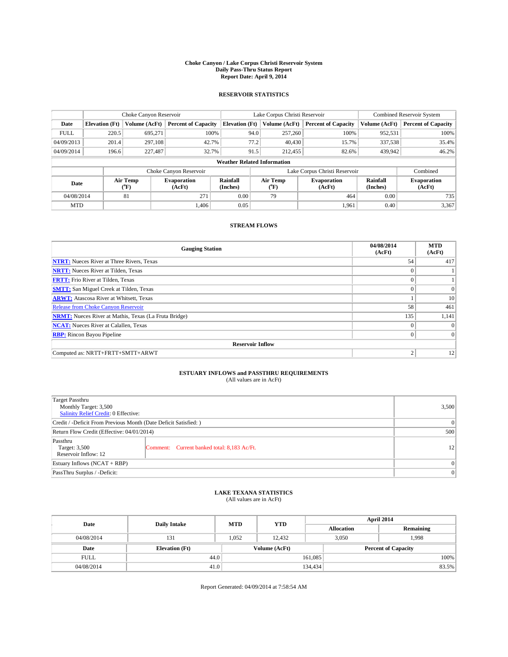#### **Choke Canyon / Lake Corpus Christi Reservoir System Daily Pass-Thru Status Report Report Date: April 9, 2014**

### **RESERVOIR STATISTICS**

|             | Choke Canyon Reservoir             |                  |                            |                       | Lake Corpus Christi Reservoir |                  |                               |                      | <b>Combined Reservoir System</b> |  |  |
|-------------|------------------------------------|------------------|----------------------------|-----------------------|-------------------------------|------------------|-------------------------------|----------------------|----------------------------------|--|--|
| Date        | <b>Elevation</b> (Ft)              | Volume (AcFt)    | <b>Percent of Capacity</b> | <b>Elevation (Ft)</b> |                               | Volume (AcFt)    | <b>Percent of Capacity</b>    | Volume (AcFt)        | Percent of Capacity              |  |  |
| <b>FULL</b> | 220.5                              | 695,271          | 100%                       |                       | 94.0                          | 257,260          | 100%                          | 952,531              | 100%                             |  |  |
| 04/09/2013  | 201.4                              | 297,108          | 42.7%                      |                       | 77.2                          | 40,430           | 15.7%                         | 337,538              | 35.4%                            |  |  |
| 04/09/2014  | 196.6                              | 227,487          | 32.7%                      |                       | 91.5                          | 212,455          | 82.6%                         | 439,942              | $46.2\%$                         |  |  |
|             | <b>Weather Related Information</b> |                  |                            |                       |                               |                  |                               |                      |                                  |  |  |
|             |                                    |                  | Choke Canyon Reservoir     |                       |                               |                  | Lake Corpus Christi Reservoir |                      | Combined                         |  |  |
| Date        |                                    | Air Temp<br>(°F) | Evaporation<br>(AcFt)      | Rainfall<br>(Inches)  |                               | Air Temp<br>("F) | <b>Evaporation</b><br>(AcFt)  | Rainfall<br>(Inches) | <b>Evaporation</b><br>(AcFt)     |  |  |
| 04/08/2014  |                                    | 81               | 271                        | 0.00                  | 79                            |                  | 464                           | 0.00                 | 735                              |  |  |
| <b>MTD</b>  |                                    |                  | 1.406                      | 0.05                  |                               |                  | 1.961                         | 0.40                 | 3,367                            |  |  |

## **STREAM FLOWS**

| <b>Gauging Station</b>                                       | 04/08/2014<br>(AcFt) | <b>MTD</b><br>(AcFt) |
|--------------------------------------------------------------|----------------------|----------------------|
| <b>NTRT:</b> Nueces River at Three Rivers, Texas             | 54                   | 417                  |
| <b>NRTT:</b> Nueces River at Tilden, Texas                   |                      |                      |
| <b>FRTT:</b> Frio River at Tilden, Texas                     |                      |                      |
| <b>SMTT:</b> San Miguel Creek at Tilden, Texas               | $\Omega$             | $\Omega$             |
| <b>ARWT:</b> Atascosa River at Whitsett, Texas               |                      | 10                   |
| <b>Release from Choke Canyon Reservoir</b>                   | 58                   | 461                  |
| <b>NRMT:</b> Nueces River at Mathis, Texas (La Fruta Bridge) | 135                  | 1,141                |
| <b>NCAT:</b> Nueces River at Calallen, Texas                 | $\theta$             | $\Omega$             |
| <b>RBP:</b> Rincon Bayou Pipeline                            | $\theta$             | $\Omega$             |
| <b>Reservoir Inflow</b>                                      |                      |                      |
| Computed as: NRTT+FRTT+SMTT+ARWT                             | $\overline{2}$       | 12                   |

# **ESTUARY INFLOWS and PASSTHRU REQUIREMENTS**<br>(All values are in AcFt)

| Target Passthru<br>Monthly Target: 3,500<br>Salinity Relief Credit: 0 Effective: |                                             | 3,500 |  |  |  |
|----------------------------------------------------------------------------------|---------------------------------------------|-------|--|--|--|
| Credit / -Deficit From Previous Month (Date Deficit Satisfied: )                 |                                             |       |  |  |  |
| Return Flow Credit (Effective: 04/01/2014)                                       |                                             |       |  |  |  |
| Passthru<br>Target: 3,500<br>Reservoir Inflow: 12                                | Comment: Current banked total: 8,183 Ac/Ft. | 12    |  |  |  |
| Estuary Inflows (NCAT + RBP)                                                     |                                             |       |  |  |  |
| PassThru Surplus / -Deficit:                                                     |                                             |       |  |  |  |

## **LAKE TEXANA STATISTICS** (All values are in AcFt)

| Date        | <b>Daily Intake</b>   | <b>MTD</b> | <b>YTD</b>    | April 2014                 |                |           |  |
|-------------|-----------------------|------------|---------------|----------------------------|----------------|-----------|--|
|             |                       |            |               | <b>Allocation</b>          |                | Remaining |  |
| 04/08/2014  | 131                   | 1.052      | 12.432        |                            | 3,050<br>1,998 |           |  |
| Date        | <b>Elevation</b> (Ft) |            | Volume (AcFt) | <b>Percent of Capacity</b> |                |           |  |
| <b>FULL</b> | 44.0                  |            |               | 161,085                    |                | 100%      |  |
| 04/08/2014  | 41.0                  |            |               | 134,434                    |                | 83.5%     |  |

Report Generated: 04/09/2014 at 7:58:54 AM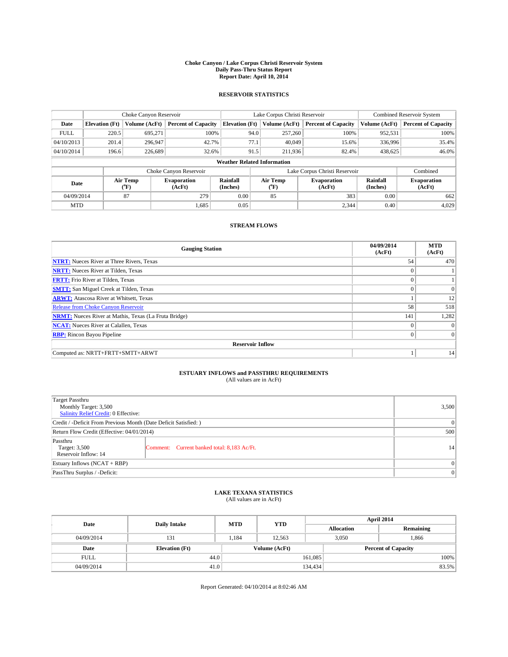#### **Choke Canyon / Lake Corpus Christi Reservoir System Daily Pass-Thru Status Report Report Date: April 10, 2014**

### **RESERVOIR STATISTICS**

|             | Choke Canyon Reservoir             |               |                            |                       | Lake Corpus Christi Reservoir |                  |                              |                      | <b>Combined Reservoir System</b> |  |  |
|-------------|------------------------------------|---------------|----------------------------|-----------------------|-------------------------------|------------------|------------------------------|----------------------|----------------------------------|--|--|
| Date        | <b>Elevation</b> (Ft)              | Volume (AcFt) | <b>Percent of Capacity</b> | <b>Elevation (Ft)</b> |                               | Volume (AcFt)    | <b>Percent of Capacity</b>   | Volume (AcFt)        | Percent of Capacity              |  |  |
| <b>FULL</b> | 220.5                              | 695,271       | 100%                       |                       | 94.0                          | 257,260          | 100%                         | 952,531              | 100%                             |  |  |
| 04/10/2013  | 201.4                              | 296,947       | 42.7%                      |                       | 77.1                          | 40,049           | 15.6%                        | 336,996              | $35.4\%$                         |  |  |
| 04/10/2014  | 196.6                              | 226,689       | 32.6%                      |                       | 91.5                          | 211,936          | 82.4%                        | 438,625              | $46.0\%$                         |  |  |
|             | <b>Weather Related Information</b> |               |                            |                       |                               |                  |                              |                      |                                  |  |  |
|             |                                    |               | Choke Canyon Reservoir     |                       | Lake Corpus Christi Reservoir |                  |                              |                      | Combined                         |  |  |
| Date        | Air Temp<br>(°F)                   |               | Evaporation<br>(AcFt)      | Rainfall<br>(Inches)  |                               | Air Temp<br>("F) | <b>Evaporation</b><br>(AcFt) | Rainfall<br>(Inches) | <b>Evaporation</b><br>(AcFt)     |  |  |
| 04/09/2014  |                                    | 87            | 279                        | 0.00                  | 85                            |                  | 383                          | 0.00                 | 662                              |  |  |
| <b>MTD</b>  |                                    |               | 1.685                      | 0.05                  |                               |                  | 2,344                        | 0.40                 | 4,029                            |  |  |

## **STREAM FLOWS**

| <b>Gauging Station</b>                                       | 04/09/2014<br>(AcFt) | <b>MTD</b><br>(AcFt) |
|--------------------------------------------------------------|----------------------|----------------------|
| <b>NTRT:</b> Nueces River at Three Rivers, Texas             | 54                   | 470                  |
| <b>NRTT:</b> Nueces River at Tilden, Texas                   | $\theta$             |                      |
| <b>FRTT:</b> Frio River at Tilden, Texas                     |                      |                      |
| <b>SMTT:</b> San Miguel Creek at Tilden, Texas               | $\theta$             | $\overline{0}$       |
| <b>ARWT:</b> Atascosa River at Whitsett, Texas               |                      | 12                   |
| <b>Release from Choke Canyon Reservoir</b>                   | 58                   | 518                  |
| <b>NRMT:</b> Nueces River at Mathis, Texas (La Fruta Bridge) | 141                  | 1,282                |
| <b>NCAT:</b> Nueces River at Calallen, Texas                 | $\theta$             | $\Omega$             |
| <b>RBP:</b> Rincon Bayou Pipeline                            | $\theta$             | $\Omega$             |
| <b>Reservoir Inflow</b>                                      |                      |                      |
| Computed as: NRTT+FRTT+SMTT+ARWT                             |                      | 14                   |

# **ESTUARY INFLOWS and PASSTHRU REQUIREMENTS**<br>(All values are in AcFt)

| Target Passthru<br>Monthly Target: 3,500<br>Salinity Relief Credit: 0 Effective: |                                             | 3,500 |  |  |
|----------------------------------------------------------------------------------|---------------------------------------------|-------|--|--|
| Credit / -Deficit From Previous Month (Date Deficit Satisfied: )                 |                                             |       |  |  |
| Return Flow Credit (Effective: 04/01/2014)                                       |                                             |       |  |  |
| Passthru<br>Target: 3,500<br>Reservoir Inflow: 14                                | Comment: Current banked total: 8,183 Ac/Ft. | 14    |  |  |
| Estuary Inflows (NCAT + RBP)                                                     |                                             |       |  |  |
| PassThru Surplus / -Deficit:                                                     | $\Omega$                                    |       |  |  |

# **LAKE TEXANA STATISTICS** (All values are in AcFt)

| Date        | <b>Daily Intake</b>   | <b>MTD</b> | <b>YTD</b>    | April 2014        |                |                            |  |
|-------------|-----------------------|------------|---------------|-------------------|----------------|----------------------------|--|
|             |                       |            |               | <b>Allocation</b> |                | Remaining                  |  |
| 04/09/2014  | 131                   | 1,184      | 12.563        |                   | 3,050<br>1,866 |                            |  |
| Date        | <b>Elevation</b> (Ft) |            | Volume (AcFt) |                   |                | <b>Percent of Capacity</b> |  |
| <b>FULL</b> | 44.0                  |            |               | 161,085           |                | 100%                       |  |
| 04/09/2014  |                       | 41.0       |               | 134,434           |                | 83.5%                      |  |

Report Generated: 04/10/2014 at 8:02:46 AM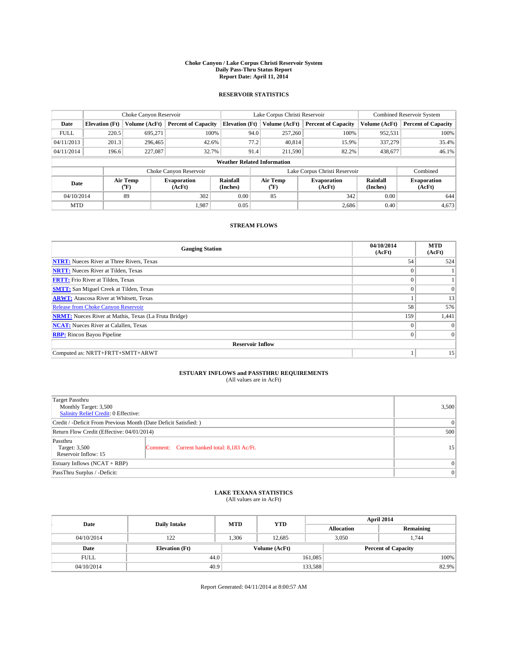#### **Choke Canyon / Lake Corpus Christi Reservoir System Daily Pass-Thru Status Report Report Date: April 11, 2014**

### **RESERVOIR STATISTICS**

|             |                                    | Choke Canyon Reservoir |                              |                       | Lake Corpus Christi Reservoir             | <b>Combined Reservoir System</b> |                      |                              |  |  |
|-------------|------------------------------------|------------------------|------------------------------|-----------------------|-------------------------------------------|----------------------------------|----------------------|------------------------------|--|--|
| Date        | <b>Elevation</b> (Ft)              | Volume (AcFt)          | <b>Percent of Capacity</b>   | <b>Elevation (Ft)</b> | Volume (AcFt)                             | <b>Percent of Capacity</b>       | Volume (AcFt)        | <b>Percent of Capacity</b>   |  |  |
| <b>FULL</b> | 220.5                              | 695,271                | 100%                         | 94.0                  | 257,260                                   | 100%                             | 952,531              | 100%                         |  |  |
| 04/11/2013  | 201.3                              | 296,465                | 42.6%                        | 77.2                  | 40,814                                    | 15.9%                            | 337,279              | 35.4%                        |  |  |
| 04/11/2014  | 196.6                              | 227,087                | 32.7%                        | 91.4                  | 211.590                                   | 82.2%                            | 438,677              | 46.1%                        |  |  |
|             | <b>Weather Related Information</b> |                        |                              |                       |                                           |                                  |                      |                              |  |  |
|             |                                    |                        | Choke Canyon Reservoir       |                       | Lake Corpus Christi Reservoir<br>Combined |                                  |                      |                              |  |  |
| Date        | Air Temp<br>(°F)                   |                        | <b>Evaporation</b><br>(AcFt) | Rainfall<br>(Inches)  | Air Temp<br>(°F)                          | <b>Evaporation</b><br>(AcFt)     | Rainfall<br>(Inches) | <b>Evaporation</b><br>(AcFt) |  |  |
| 04/10/2014  |                                    | 89                     | 302                          | 0.00                  | 85                                        | 342                              | 0.00                 | 644                          |  |  |
| <b>MTD</b>  |                                    |                        | 1.987                        | 0.05                  |                                           | 2,686                            | 0.40                 | 4,673                        |  |  |

### **STREAM FLOWS**

| <b>Gauging Station</b>                                       | 04/10/2014<br>(AcFt) | <b>MTD</b><br>(AcFt) |
|--------------------------------------------------------------|----------------------|----------------------|
| <b>NTRT:</b> Nueces River at Three Rivers, Texas             | 54                   | 524                  |
| <b>NRTT:</b> Nueces River at Tilden, Texas                   | $\theta$             |                      |
| <b>FRTT:</b> Frio River at Tilden, Texas                     |                      |                      |
| <b>SMTT:</b> San Miguel Creek at Tilden, Texas               | $\theta$             | $\overline{0}$       |
| <b>ARWT:</b> Atascosa River at Whitsett, Texas               |                      | 13                   |
| <b>Release from Choke Canyon Reservoir</b>                   | 58                   | 576                  |
| <b>NRMT:</b> Nueces River at Mathis, Texas (La Fruta Bridge) | 159                  | 1,441                |
| <b>NCAT:</b> Nueces River at Calallen, Texas                 | $\theta$             | $\Omega$             |
| <b>RBP:</b> Rincon Bayou Pipeline                            | $\theta$             | $\Omega$             |
| <b>Reservoir Inflow</b>                                      |                      |                      |
| Computed as: NRTT+FRTT+SMTT+ARWT                             |                      | 15                   |

# **ESTUARY INFLOWS and PASSTHRU REQUIREMENTS**<br>(All values are in AcFt)

| Target Passthru<br>Monthly Target: 3,500<br>Salinity Relief Credit: 0 Effective: |                                             | 3,500           |  |  |
|----------------------------------------------------------------------------------|---------------------------------------------|-----------------|--|--|
| Credit / -Deficit From Previous Month (Date Deficit Satisfied: )                 |                                             |                 |  |  |
| Return Flow Credit (Effective: 04/01/2014)                                       |                                             |                 |  |  |
| Passthru<br>Target: 3,500<br>Reservoir Inflow: 15                                | Comment: Current banked total: 8,183 Ac/Ft. | 15 <sup>2</sup> |  |  |
| Estuary Inflows (NCAT + RBP)                                                     |                                             |                 |  |  |
| PassThru Surplus / -Deficit:                                                     | $\Omega$                                    |                 |  |  |

# **LAKE TEXANA STATISTICS** (All values are in AcFt)

| Date        | <b>Daily Intake</b>   | <b>MTD</b> | <b>YTD</b>    | April 2014        |                |                            |       |
|-------------|-----------------------|------------|---------------|-------------------|----------------|----------------------------|-------|
|             |                       |            |               | <b>Allocation</b> |                | Remaining                  |       |
| 04/10/2014  | 122                   | 1,306      | 12,685        |                   | 3,050<br>1,744 |                            |       |
| Date        | <b>Elevation</b> (Ft) |            | Volume (AcFt) |                   |                | <b>Percent of Capacity</b> |       |
| <b>FULL</b> | 44.0                  |            |               | 161,085           |                |                            | 100%  |
| 04/10/2014  | 40.9                  |            |               | 133,588           |                |                            | 82.9% |

Report Generated: 04/11/2014 at 8:00:57 AM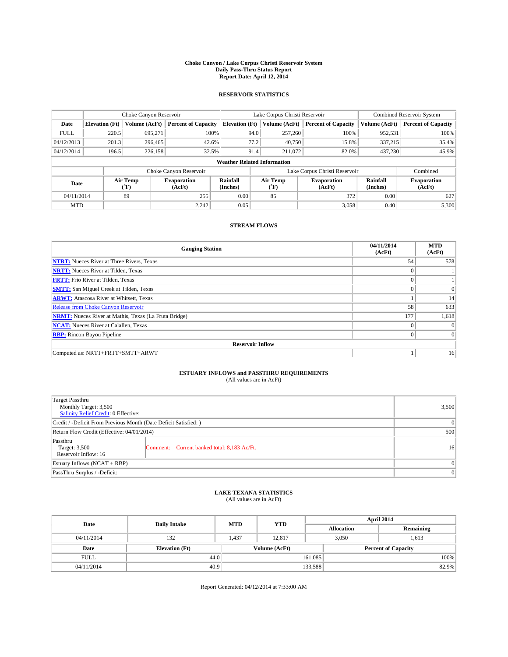#### **Choke Canyon / Lake Corpus Christi Reservoir System Daily Pass-Thru Status Report Report Date: April 12, 2014**

### **RESERVOIR STATISTICS**

|             | Choke Canyon Reservoir             |               |                              |                       | Lake Corpus Christi Reservoir |         |                              |                      | Combined Reservoir System    |  |  |
|-------------|------------------------------------|---------------|------------------------------|-----------------------|-------------------------------|---------|------------------------------|----------------------|------------------------------|--|--|
| Date        | <b>Elevation</b> (Ft)              | Volume (AcFt) | <b>Percent of Capacity</b>   | <b>Elevation (Ft)</b> | Volume (AcFt)                 |         | <b>Percent of Capacity</b>   | Volume (AcFt)        | <b>Percent of Capacity</b>   |  |  |
| <b>FULL</b> | 220.5                              | 695,271       | 100%                         |                       | 94.0                          | 257,260 | 100%                         | 952,531              | 100%                         |  |  |
| 04/12/2013  | 201.3                              | 296,465       | 42.6%                        |                       | 77.2                          | 40,750  | 15.8%                        | 337,215              | 35.4%                        |  |  |
| 04/12/2014  | 196.5                              | 226,158       | 32.5%                        |                       | 91.4                          | 211.072 | 82.0%                        | 437,230              | 45.9%                        |  |  |
|             | <b>Weather Related Information</b> |               |                              |                       |                               |         |                              |                      |                              |  |  |
|             |                                    |               | Choke Canyon Reservoir       |                       | Lake Corpus Christi Reservoir |         |                              |                      | Combined                     |  |  |
| Date        | Air Temp<br>(°F)                   |               | <b>Evaporation</b><br>(AcFt) | Rainfall<br>(Inches)  | Air Temp<br>(°F)              |         | <b>Evaporation</b><br>(AcFt) | Rainfall<br>(Inches) | <b>Evaporation</b><br>(AcFt) |  |  |
| 04/11/2014  |                                    | 89            | 255                          | 0.00                  | 85                            |         | 372<br>0.00                  |                      | 627                          |  |  |
| <b>MTD</b>  |                                    |               | 2.242                        | 0.05                  |                               |         | 3,058                        | 0.40                 | 5,300                        |  |  |

### **STREAM FLOWS**

| <b>Gauging Station</b>                                       | 04/11/2014<br>(AcFt) | <b>MTD</b><br>(AcFt) |
|--------------------------------------------------------------|----------------------|----------------------|
| <b>NTRT:</b> Nueces River at Three Rivers, Texas             | 54                   | 578                  |
| <b>NRTT:</b> Nueces River at Tilden, Texas                   | $\theta$             |                      |
| <b>FRTT:</b> Frio River at Tilden, Texas                     |                      |                      |
| <b>SMTT:</b> San Miguel Creek at Tilden, Texas               | $\theta$             | $\overline{0}$       |
| <b>ARWT:</b> Atascosa River at Whitsett, Texas               |                      | 14                   |
| <b>Release from Choke Canyon Reservoir</b>                   | 58                   | 633                  |
| <b>NRMT:</b> Nueces River at Mathis, Texas (La Fruta Bridge) | 177                  | 1,618                |
| <b>NCAT:</b> Nueces River at Calallen, Texas                 | $\theta$             | $\Omega$             |
| <b>RBP:</b> Rincon Bayou Pipeline                            | $\theta$             | $\Omega$             |
| <b>Reservoir Inflow</b>                                      |                      |                      |
| Computed as: NRTT+FRTT+SMTT+ARWT                             |                      | 16                   |

# **ESTUARY INFLOWS and PASSTHRU REQUIREMENTS**<br>(All values are in AcFt)

| <b>Target Passthru</b><br>Monthly Target: 3,500<br>Salinity Relief Credit: 0 Effective: |                                             |    |  |  |  |
|-----------------------------------------------------------------------------------------|---------------------------------------------|----|--|--|--|
| Credit / -Deficit From Previous Month (Date Deficit Satisfied: )                        |                                             |    |  |  |  |
| Return Flow Credit (Effective: 04/01/2014)                                              |                                             |    |  |  |  |
| Passthru<br>Target: 3,500<br>Reservoir Inflow: 16                                       | Comment: Current banked total: 8,183 Ac/Ft. | 16 |  |  |  |
| Estuary Inflows (NCAT + RBP)                                                            |                                             |    |  |  |  |
| PassThru Surplus / -Deficit:                                                            |                                             |    |  |  |  |

## **LAKE TEXANA STATISTICS** (All values are in AcFt)

| Date        | <b>Daily Intake</b>   | <b>MTD</b> | <b>YTD</b>    | April 2014        |                |                            |       |
|-------------|-----------------------|------------|---------------|-------------------|----------------|----------------------------|-------|
|             |                       |            |               | <b>Allocation</b> |                | Remaining                  |       |
| 04/11/2014  | 132                   | 1,437      | 12.817        |                   | 3,050<br>1,613 |                            |       |
| Date        | <b>Elevation</b> (Ft) |            | Volume (AcFt) |                   |                | <b>Percent of Capacity</b> |       |
| <b>FULL</b> | 44.0                  |            |               | 161,085           |                |                            | 100%  |
| 04/11/2014  | 40.9                  |            |               | 133,588           |                |                            | 82.9% |

Report Generated: 04/12/2014 at 7:33:00 AM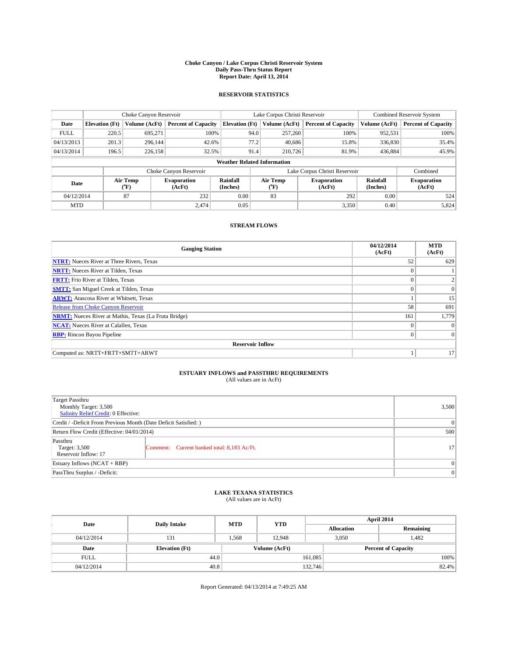#### **Choke Canyon / Lake Corpus Christi Reservoir System Daily Pass-Thru Status Report Report Date: April 13, 2014**

### **RESERVOIR STATISTICS**

|             | Choke Canyon Reservoir             |                  |                              |                       | Lake Corpus Christi Reservoir |                  |                              |                      | <b>Combined Reservoir System</b> |  |  |
|-------------|------------------------------------|------------------|------------------------------|-----------------------|-------------------------------|------------------|------------------------------|----------------------|----------------------------------|--|--|
| Date        | <b>Elevation</b> (Ft)              | Volume (AcFt)    | <b>Percent of Capacity</b>   | <b>Elevation (Ft)</b> |                               | Volume (AcFt)    | <b>Percent of Capacity</b>   | Volume (AcFt)        | <b>Percent of Capacity</b>       |  |  |
| <b>FULL</b> | 220.5                              | 695,271          | 100%                         |                       | 94.0                          | 257,260          | 100%                         | 952,531              | 100%                             |  |  |
| 04/13/2013  | 201.3                              | 296,144          | 42.6%                        |                       | 77.2                          | 40,686           | 15.8%                        | 336,830              | 35.4%                            |  |  |
| 04/13/2014  | 196.5                              | 226,158          | 32.5%                        |                       | 91.4                          | 210,726          | 81.9%                        | 436,884              | 45.9%                            |  |  |
|             | <b>Weather Related Information</b> |                  |                              |                       |                               |                  |                              |                      |                                  |  |  |
|             |                                    |                  | Choke Canyon Reservoir       |                       | Lake Corpus Christi Reservoir |                  |                              |                      |                                  |  |  |
| Date        |                                    | Air Temp<br>(°F) | <b>Evaporation</b><br>(AcFt) | Rainfall<br>(Inches)  |                               | Air Temp<br>("F) | <b>Evaporation</b><br>(AcFt) | Rainfall<br>(Inches) | <b>Evaporation</b><br>(AcFt)     |  |  |
| 04/12/2014  |                                    | 87               | 232                          | 0.00                  | 83                            |                  | 292                          | 0.00                 | 524                              |  |  |
| <b>MTD</b>  |                                    |                  | 2.474                        | 0.05                  |                               |                  | 3,350                        | 0.40                 | 5,824                            |  |  |

### **STREAM FLOWS**

| <b>Gauging Station</b>                                       | 04/12/2014<br>(AcFt) | <b>MTD</b><br>(AcFt) |
|--------------------------------------------------------------|----------------------|----------------------|
| <b>NTRT:</b> Nueces River at Three Rivers, Texas             | 52                   | 629                  |
| <b>NRTT:</b> Nueces River at Tilden, Texas                   | $\theta$             |                      |
| <b>FRTT:</b> Frio River at Tilden, Texas                     |                      |                      |
| <b>SMTT:</b> San Miguel Creek at Tilden, Texas               | $\theta$             | $\overline{0}$       |
| <b>ARWT:</b> Atascosa River at Whitsett, Texas               |                      | 15                   |
| <b>Release from Choke Canyon Reservoir</b>                   | 58                   | 691                  |
| <b>NRMT:</b> Nueces River at Mathis, Texas (La Fruta Bridge) | 161                  | 1,779                |
| <b>NCAT:</b> Nueces River at Calallen, Texas                 | $\theta$             | $\Omega$             |
| <b>RBP:</b> Rincon Bayou Pipeline                            | $\theta$             | $\Omega$             |
| <b>Reservoir Inflow</b>                                      |                      |                      |
| Computed as: NRTT+FRTT+SMTT+ARWT                             |                      | 17                   |

# **ESTUARY INFLOWS and PASSTHRU REQUIREMENTS**<br>(All values are in AcFt)

| <b>Target Passthru</b><br>Monthly Target: 3,500<br>Salinity Relief Credit: 0 Effective: |                                             | 3,500           |  |  |
|-----------------------------------------------------------------------------------------|---------------------------------------------|-----------------|--|--|
| Credit / -Deficit From Previous Month (Date Deficit Satisfied: )                        |                                             |                 |  |  |
| Return Flow Credit (Effective: 04/01/2014)                                              |                                             |                 |  |  |
| Passthru<br>Target: 3,500<br>Reservoir Inflow: 17                                       | Comment: Current banked total: 8,183 Ac/Ft. | 17 <sup>1</sup> |  |  |
| Estuary Inflows (NCAT + RBP)                                                            |                                             |                 |  |  |
| PassThru Surplus / -Deficit:                                                            |                                             |                 |  |  |

# **LAKE TEXANA STATISTICS** (All values are in AcFt)

| Date        | <b>Daily Intake</b>   | <b>MTD</b> | <b>YTD</b>    | April 2014        |  |                            |       |
|-------------|-----------------------|------------|---------------|-------------------|--|----------------------------|-------|
|             |                       |            |               | <b>Allocation</b> |  | Remaining                  |       |
| 04/12/2014  | 131                   | 1,568      | 12.948        | 3,050             |  | 1,482                      |       |
| Date        | <b>Elevation</b> (Ft) |            | Volume (AcFt) |                   |  | <b>Percent of Capacity</b> |       |
| <b>FULL</b> | 44.0                  |            |               | 161,085           |  |                            | 100%  |
| 04/12/2014  | 40.8                  |            |               | 132,746           |  |                            | 82.4% |

Report Generated: 04/13/2014 at 7:49:25 AM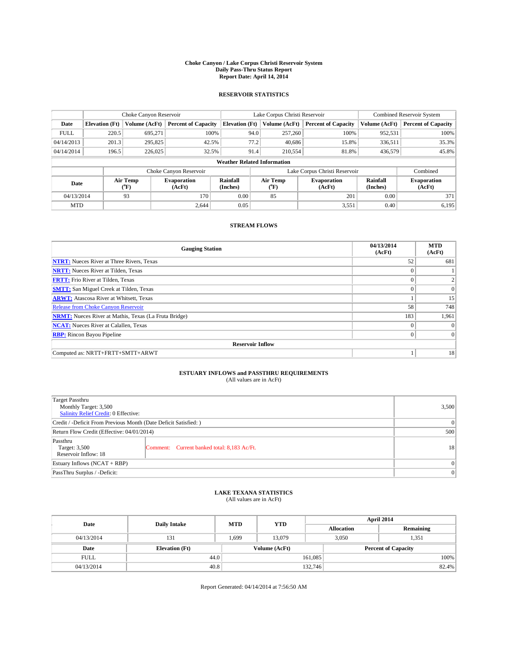#### **Choke Canyon / Lake Corpus Christi Reservoir System Daily Pass-Thru Status Report Report Date: April 14, 2014**

### **RESERVOIR STATISTICS**

|             | Choke Canyon Reservoir             |                  | Lake Corpus Christi Reservoir |                      |                                        |                  | <b>Combined Reservoir System</b> |                      |                              |  |  |
|-------------|------------------------------------|------------------|-------------------------------|----------------------|----------------------------------------|------------------|----------------------------------|----------------------|------------------------------|--|--|
| Date        | <b>Elevation</b> (Ft)              | Volume (AcFt)    | <b>Percent of Capacity</b>    |                      | <b>Elevation (Ft)</b><br>Volume (AcFt) |                  | <b>Percent of Capacity</b>       | Volume (AcFt)        | Percent of Capacity          |  |  |
| <b>FULL</b> | 220.5                              | 695,271          | 100%                          |                      | 94.0                                   | 257,260          | 100%                             | 952,531              | 100%                         |  |  |
| 04/14/2013  | 201.3                              | 295,825          | 42.5%                         |                      | 77.2                                   | 40,686           | 15.8%                            | 336,511              | 35.3%                        |  |  |
| 04/14/2014  | 196.5                              | 226,025          | 32.5%                         |                      | 91.4                                   | 210,554          | 81.8%                            | 436,579              | 45.8%                        |  |  |
|             | <b>Weather Related Information</b> |                  |                               |                      |                                        |                  |                                  |                      |                              |  |  |
|             |                                    |                  | Choke Canyon Reservoir        |                      | Lake Corpus Christi Reservoir          |                  |                                  |                      |                              |  |  |
| Date        |                                    | Air Temp<br>(°F) | Evaporation<br>(AcFt)         | Rainfall<br>(Inches) |                                        | Air Temp<br>("F) | <b>Evaporation</b><br>(AcFt)     | Rainfall<br>(Inches) | <b>Evaporation</b><br>(AcFt) |  |  |
| 04/13/2014  |                                    | 93               | 170                           | 0.00                 |                                        | 85               | 201                              | 0.00                 | 371                          |  |  |
| <b>MTD</b>  |                                    |                  | 2.644                         | 0.05                 |                                        |                  | 3,551                            | 0.40                 | 6,195                        |  |  |

## **STREAM FLOWS**

| <b>Gauging Station</b>                                       | 04/13/2014<br>(AcFt) | <b>MTD</b><br>(AcFt) |  |  |  |  |  |  |  |
|--------------------------------------------------------------|----------------------|----------------------|--|--|--|--|--|--|--|
| <b>NTRT:</b> Nueces River at Three Rivers, Texas             | 52                   | 681                  |  |  |  |  |  |  |  |
| <b>NRTT:</b> Nueces River at Tilden, Texas                   | $\theta$             |                      |  |  |  |  |  |  |  |
| <b>FRTT:</b> Frio River at Tilden, Texas                     |                      |                      |  |  |  |  |  |  |  |
| <b>SMTT:</b> San Miguel Creek at Tilden, Texas               | $\theta$             | $\overline{0}$       |  |  |  |  |  |  |  |
| <b>ARWT:</b> Atascosa River at Whitsett, Texas               |                      | 15                   |  |  |  |  |  |  |  |
| <b>Release from Choke Canyon Reservoir</b>                   | 58                   | 748                  |  |  |  |  |  |  |  |
| <b>NRMT:</b> Nueces River at Mathis, Texas (La Fruta Bridge) | 183                  | 1,961                |  |  |  |  |  |  |  |
| <b>NCAT:</b> Nueces River at Calallen, Texas                 | $\theta$             | $\Omega$             |  |  |  |  |  |  |  |
| <b>RBP:</b> Rincon Bayou Pipeline                            | $\theta$             | $\Omega$             |  |  |  |  |  |  |  |
| <b>Reservoir Inflow</b>                                      |                      |                      |  |  |  |  |  |  |  |
| Computed as: NRTT+FRTT+SMTT+ARWT                             |                      | 18                   |  |  |  |  |  |  |  |

# **ESTUARY INFLOWS and PASSTHRU REQUIREMENTS**<br>(All values are in AcFt)

| <b>Target Passthru</b><br>Monthly Target: 3,500<br>Salinity Relief Credit: 0 Effective: |                                             | 3,500     |  |  |
|-----------------------------------------------------------------------------------------|---------------------------------------------|-----------|--|--|
| Credit / -Deficit From Previous Month (Date Deficit Satisfied: )                        |                                             |           |  |  |
| Return Flow Credit (Effective: 04/01/2014)                                              |                                             |           |  |  |
| Passthru<br>Target: 3,500<br>Reservoir Inflow: 18                                       | Comment: Current banked total: 8,183 Ac/Ft. | <b>18</b> |  |  |
| Estuary Inflows (NCAT + RBP)                                                            |                                             |           |  |  |
| PassThru Surplus / -Deficit:                                                            |                                             |           |  |  |

# **LAKE TEXANA STATISTICS** (All values are in AcFt)

| Date        | <b>Daily Intake</b>   | <b>MTD</b> | <b>YTD</b>    | April 2014 |                   |                            |       |
|-------------|-----------------------|------------|---------------|------------|-------------------|----------------------------|-------|
|             |                       |            |               |            | <b>Allocation</b> | Remaining                  |       |
| 04/13/2014  | 131                   | 1,699      | 13,079        |            | 3,050<br>1,351    |                            |       |
| Date        | <b>Elevation</b> (Ft) |            | Volume (AcFt) |            |                   | <b>Percent of Capacity</b> |       |
| <b>FULL</b> | 44.0                  |            |               | 161,085    |                   |                            | 100%  |
| 04/13/2014  | 40.8                  |            |               | 132,746    |                   |                            | 82.4% |

Report Generated: 04/14/2014 at 7:56:50 AM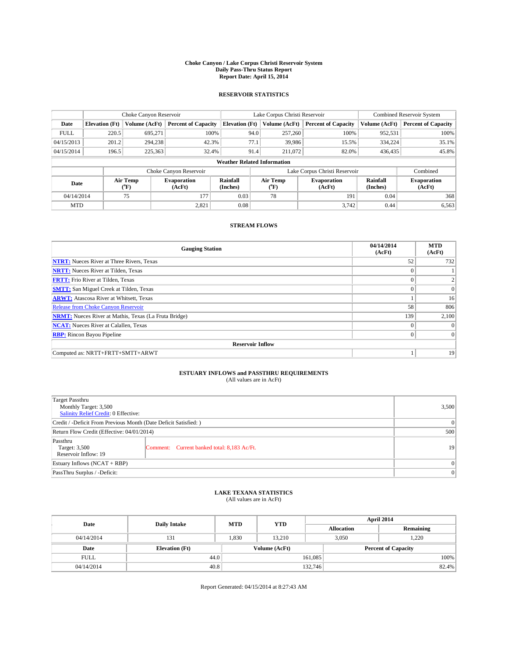#### **Choke Canyon / Lake Corpus Christi Reservoir System Daily Pass-Thru Status Report Report Date: April 15, 2014**

### **RESERVOIR STATISTICS**

|             |                                    | Choke Canyon Reservoir |                              |                       | Lake Corpus Christi Reservoir | <b>Combined Reservoir System</b> |                      |                              |  |  |  |
|-------------|------------------------------------|------------------------|------------------------------|-----------------------|-------------------------------|----------------------------------|----------------------|------------------------------|--|--|--|
| Date        | <b>Elevation</b> (Ft)              | Volume (AcFt)          | <b>Percent of Capacity</b>   | <b>Elevation (Ft)</b> | Volume (AcFt)                 | <b>Percent of Capacity</b>       | Volume (AcFt)        | <b>Percent of Capacity</b>   |  |  |  |
| <b>FULL</b> | 220.5                              | 695,271                | 100%                         | 94.0                  | 257,260                       | 100%                             | 952,531              | 100%                         |  |  |  |
| 04/15/2013  | 201.2                              | 294,238                | 42.3%                        | 77.1                  | 39,986                        | 15.5%                            | 334,224              | 35.1%                        |  |  |  |
| 04/15/2014  | 196.5                              | 225,363                | 32.4%                        | 91.4                  | 211.072                       | 82.0%                            | 436,435              | 45.8%                        |  |  |  |
|             | <b>Weather Related Information</b> |                        |                              |                       |                               |                                  |                      |                              |  |  |  |
|             |                                    |                        | Choke Canyon Reservoir       |                       | Lake Corpus Christi Reservoir |                                  |                      |                              |  |  |  |
| Date        |                                    | Air Temp<br>(°F)       | <b>Evaporation</b><br>(AcFt) | Rainfall<br>(Inches)  | Air Temp<br>("F)              | <b>Evaporation</b><br>(AcFt)     | Rainfall<br>(Inches) | <b>Evaporation</b><br>(AcFt) |  |  |  |
| 04/14/2014  |                                    | 75                     | 177                          | 0.03                  | 78                            | 191                              | 0.04                 | 368                          |  |  |  |
| <b>MTD</b>  |                                    |                        | 2,821                        | 0.08                  |                               | 3.742                            | 0.44                 | 6,563                        |  |  |  |

### **STREAM FLOWS**

| <b>Gauging Station</b>                                       | 04/14/2014<br>(AcFt) | <b>MTD</b><br>(AcFt) |
|--------------------------------------------------------------|----------------------|----------------------|
| <b>NTRT:</b> Nueces River at Three Rivers, Texas             | 52                   | 732                  |
| <b>NRTT:</b> Nueces River at Tilden, Texas                   | $\theta$             |                      |
| <b>FRTT:</b> Frio River at Tilden, Texas                     |                      |                      |
| <b>SMTT:</b> San Miguel Creek at Tilden, Texas               | $\theta$             | $\overline{0}$       |
| <b>ARWT:</b> Atascosa River at Whitsett, Texas               |                      | 16                   |
| <b>Release from Choke Canyon Reservoir</b>                   | 58                   | 806                  |
| <b>NRMT:</b> Nueces River at Mathis, Texas (La Fruta Bridge) | 139                  | 2,100                |
| <b>NCAT:</b> Nueces River at Calallen, Texas                 | $\theta$             | $\Omega$             |
| <b>RBP:</b> Rincon Bayou Pipeline                            | $\theta$             | $\Omega$             |
| <b>Reservoir Inflow</b>                                      |                      |                      |
| Computed as: NRTT+FRTT+SMTT+ARWT                             |                      | 19                   |

# **ESTUARY INFLOWS and PASSTHRU REQUIREMENTS**<br>(All values are in AcFt)

| <b>Target Passthru</b><br>Monthly Target: 3,500<br>Salinity Relief Credit: 0 Effective: |                                             | 3,500 |  |  |
|-----------------------------------------------------------------------------------------|---------------------------------------------|-------|--|--|
| Credit / -Deficit From Previous Month (Date Deficit Satisfied: )                        |                                             |       |  |  |
| Return Flow Credit (Effective: 04/01/2014)                                              |                                             |       |  |  |
| Passthru<br>Target: 3,500<br>Reservoir Inflow: 19                                       | Comment: Current banked total: 8,183 Ac/Ft. | 19    |  |  |
| Estuary Inflows (NCAT + RBP)                                                            |                                             |       |  |  |
| PassThru Surplus / -Deficit:                                                            |                                             |       |  |  |

## **LAKE TEXANA STATISTICS** (All values are in AcFt)

| Date        | <b>Daily Intake</b>   | <b>MTD</b> | <b>YTD</b>    | April 2014 |                   |                            |       |
|-------------|-----------------------|------------|---------------|------------|-------------------|----------------------------|-------|
|             |                       |            |               |            | <b>Allocation</b> | Remaining                  |       |
| 04/14/2014  | 131                   | 1,830      | 13.210        |            | 1,220<br>3,050    |                            |       |
| Date        | <b>Elevation</b> (Ft) |            | Volume (AcFt) |            |                   | <b>Percent of Capacity</b> |       |
| <b>FULL</b> | 44.0                  |            |               | 161,085    |                   |                            | 100%  |
| 04/14/2014  | 40.8                  |            |               | 132,746    |                   |                            | 82.4% |

Report Generated: 04/15/2014 at 8:27:43 AM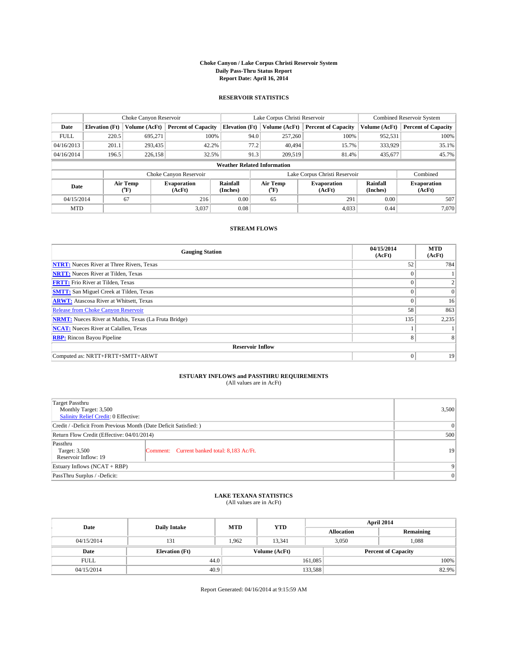#### **Choke Canyon / Lake Corpus Christi Reservoir System Daily Pass-Thru Status Report Report Date: April 16, 2014**

### **RESERVOIR STATISTICS**

|             | Choke Canyon Reservoir |                  |                              |                                    | Lake Corpus Christi Reservoir                    | Combined Reservoir System     |                      |                              |
|-------------|------------------------|------------------|------------------------------|------------------------------------|--------------------------------------------------|-------------------------------|----------------------|------------------------------|
| Date        | <b>Elevation</b> (Ft)  | Volume (AcFt)    | <b>Percent of Capacity</b>   | <b>Elevation (Ft)</b>              | Volume (AcFt)                                    | <b>Percent of Capacity</b>    | Volume (AcFt)        | Percent of Capacity          |
| <b>FULL</b> | 220.5                  | 695,271          | 100%                         | 94.0                               | 257,260                                          | 100%                          | 952,531              | 100%                         |
| 04/16/2013  | 201.1                  | 293,435          | 42.2%                        | 77.2                               | 40,494                                           | 15.7%                         | 333,929              | $35.1\%$                     |
| 04/16/2014  | 196.5                  | 226,158          | 32.5%                        | 91.3                               | 209,519                                          | 81.4%                         | 435.677              | 45.7%                        |
|             |                        |                  |                              | <b>Weather Related Information</b> |                                                  |                               |                      |                              |
|             |                        |                  | Choke Canyon Reservoir       |                                    |                                                  | Lake Corpus Christi Reservoir |                      | Combined                     |
| Date        |                        | Air Temp<br>(°F) | <b>Evaporation</b><br>(AcFt) | Rainfall<br>(Inches)               | Air Temp<br><b>Evaporation</b><br>(AcFt)<br>("F) |                               | Rainfall<br>(Inches) | <b>Evaporation</b><br>(AcFt) |
| 04/15/2014  |                        | 67               | 216                          | 0.00                               | 65                                               | 291                           | 0.00                 | 507                          |
| <b>MTD</b>  |                        |                  | 3,037                        | 0.08                               |                                                  | 4,033                         | 0.44                 | 7.070                        |

### **STREAM FLOWS**

| <b>Gauging Station</b>                                       | 04/15/2014<br>(AcFt) | <b>MTD</b><br>(AcFt) |  |  |  |  |  |
|--------------------------------------------------------------|----------------------|----------------------|--|--|--|--|--|
| <b>NTRT:</b> Nueces River at Three Rivers, Texas             | 52                   | 784                  |  |  |  |  |  |
| <b>NRTT:</b> Nueces River at Tilden, Texas                   |                      |                      |  |  |  |  |  |
| <b>FRTT:</b> Frio River at Tilden, Texas                     | $\theta$             |                      |  |  |  |  |  |
| <b>SMTT:</b> San Miguel Creek at Tilden, Texas               | $\theta$             | $\Omega$             |  |  |  |  |  |
| <b>ARWT:</b> Atascosa River at Whitsett, Texas               | $\theta$             | 16                   |  |  |  |  |  |
| <b>Release from Choke Canyon Reservoir</b>                   | 58                   | 863                  |  |  |  |  |  |
| <b>NRMT:</b> Nueces River at Mathis, Texas (La Fruta Bridge) | 135                  | 2,235                |  |  |  |  |  |
| <b>NCAT:</b> Nueces River at Calallen, Texas                 |                      |                      |  |  |  |  |  |
| <b>RBP:</b> Rincon Bayou Pipeline                            | 8                    | 8                    |  |  |  |  |  |
| <b>Reservoir Inflow</b>                                      |                      |                      |  |  |  |  |  |
| Computed as: NRTT+FRTT+SMTT+ARWT                             | $\theta$             | 19                   |  |  |  |  |  |

## **ESTUARY INFLOWS and PASSTHRU REQUIREMENTS**<br>(All values are in AcFt)

| Target Passthru<br>Monthly Target: 3,500                         |                                             |    |  |  |  |  |
|------------------------------------------------------------------|---------------------------------------------|----|--|--|--|--|
| Salinity Relief Credit: 0 Effective:                             |                                             |    |  |  |  |  |
| Credit / -Deficit From Previous Month (Date Deficit Satisfied: ) | $\Omega$                                    |    |  |  |  |  |
| Return Flow Credit (Effective: 04/01/2014)                       | 500                                         |    |  |  |  |  |
| Passthru<br>Target: 3,500<br>Reservoir Inflow: 19                | Comment: Current banked total: 8,183 Ac/Ft. | 19 |  |  |  |  |
| Estuary Inflows (NCAT + RBP)                                     | 9                                           |    |  |  |  |  |
| PassThru Surplus / -Deficit:                                     | $\mathbf{0}$                                |    |  |  |  |  |

### **LAKE TEXANA STATISTICS** (All values are in AcFt)

| Date        | <b>Daily Intake</b>   | <b>MTD</b> | <b>YTD</b>    | April 2014        |                |                            |       |  |
|-------------|-----------------------|------------|---------------|-------------------|----------------|----------------------------|-------|--|
|             |                       |            |               | <b>Allocation</b> |                | Remaining                  |       |  |
| 04/15/2014  | 131                   | 1.962      | 13.341        |                   | 1,088<br>3,050 |                            |       |  |
| Date        | <b>Elevation</b> (Ft) |            | Volume (AcFt) |                   |                | <b>Percent of Capacity</b> |       |  |
| <b>FULL</b> | 44.0                  |            |               | 161.085           |                |                            | 100%  |  |
| 04/15/2014  | 40.9                  |            |               | 133,588           |                |                            | 82.9% |  |

Report Generated: 04/16/2014 at 9:15:59 AM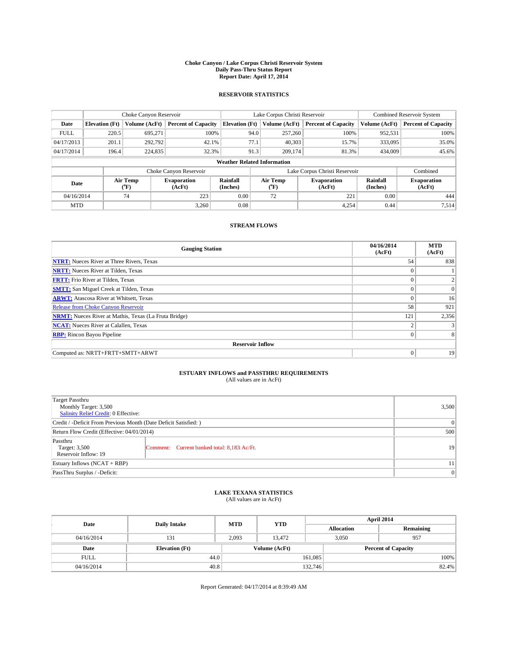#### **Choke Canyon / Lake Corpus Christi Reservoir System Daily Pass-Thru Status Report Report Date: April 17, 2014**

### **RESERVOIR STATISTICS**

|             | Choke Canyon Reservoir |                  |                              |                                    | Lake Corpus Christi Reservoir                    | <b>Combined Reservoir System</b> |                      |                              |
|-------------|------------------------|------------------|------------------------------|------------------------------------|--------------------------------------------------|----------------------------------|----------------------|------------------------------|
| Date        | <b>Elevation</b> (Ft)  | Volume (AcFt)    | <b>Percent of Capacity</b>   | <b>Elevation (Ft)</b>              | Volume (AcFt)                                    | <b>Percent of Capacity</b>       | Volume (AcFt)        | <b>Percent of Capacity</b>   |
| <b>FULL</b> | 220.5                  | 695,271          | 100%                         | 94.0                               | 257,260                                          | 100%                             | 952,531              | 100%                         |
| 04/17/2013  | 201.1                  | 292,792          | 42.1%                        | 77.1                               | 40,303                                           | 15.7%                            | 333,095              | 35.0%                        |
| 04/17/2014  | 196.4                  | 224,835          | 32.3%                        | 91.3                               | 209,174                                          | 81.3%                            | 434,009              | 45.6%                        |
|             |                        |                  |                              | <b>Weather Related Information</b> |                                                  |                                  |                      |                              |
|             |                        |                  | Choke Canyon Reservoir       |                                    |                                                  | Lake Corpus Christi Reservoir    |                      | Combined                     |
| Date        |                        | Air Temp<br>(°F) | <b>Evaporation</b><br>(AcFt) | Rainfall<br>(Inches)               | Air Temp<br><b>Evaporation</b><br>(AcFt)<br>(°F) |                                  | Rainfall<br>(Inches) | <b>Evaporation</b><br>(AcFt) |
| 04/16/2014  |                        | 74               | 223                          | 0.00                               | 72                                               | 221                              | 0.00                 | 444                          |
| <b>MTD</b>  |                        |                  | 3.260                        | 0.08                               |                                                  | 4,254                            | 0.44                 | 7,514                        |

### **STREAM FLOWS**

| <b>Gauging Station</b>                                       | 04/16/2014<br>(AcFt) | <b>MTD</b><br>(AcFt) |  |  |  |  |  |
|--------------------------------------------------------------|----------------------|----------------------|--|--|--|--|--|
| <b>NTRT:</b> Nueces River at Three Rivers, Texas             | 54                   | 838                  |  |  |  |  |  |
| <b>NRTT:</b> Nueces River at Tilden, Texas                   | $\theta$             |                      |  |  |  |  |  |
| <b>FRTT:</b> Frio River at Tilden, Texas                     |                      |                      |  |  |  |  |  |
| <b>SMTT:</b> San Miguel Creek at Tilden, Texas               | $\theta$             | $\overline{0}$       |  |  |  |  |  |
| <b>ARWT:</b> Atascosa River at Whitsett, Texas               | $\theta$             | 16                   |  |  |  |  |  |
| <b>Release from Choke Canyon Reservoir</b>                   | 58                   | 921                  |  |  |  |  |  |
| <b>NRMT:</b> Nueces River at Mathis, Texas (La Fruta Bridge) | 121                  | 2,356                |  |  |  |  |  |
| <b>NCAT:</b> Nueces River at Calallen, Texas                 | $\overline{c}$       |                      |  |  |  |  |  |
| <b>RBP:</b> Rincon Bayou Pipeline                            | $\theta$             |                      |  |  |  |  |  |
| <b>Reservoir Inflow</b>                                      |                      |                      |  |  |  |  |  |
| Computed as: NRTT+FRTT+SMTT+ARWT                             | $\Omega$             | 19                   |  |  |  |  |  |

# **ESTUARY INFLOWS and PASSTHRU REQUIREMENTS**<br>(All values are in AcFt)

| <b>Target Passthru</b><br>Monthly Target: 3,500<br>Salinity Relief Credit: 0 Effective: |                                             | 3,500 |  |  |
|-----------------------------------------------------------------------------------------|---------------------------------------------|-------|--|--|
| Credit / -Deficit From Previous Month (Date Deficit Satisfied: )                        |                                             |       |  |  |
| Return Flow Credit (Effective: 04/01/2014)                                              |                                             |       |  |  |
| Passthru<br>Target: 3,500<br>Reservoir Inflow: 19                                       | Comment: Current banked total: 8,183 Ac/Ft. | 19    |  |  |
| Estuary Inflows (NCAT + RBP)                                                            |                                             |       |  |  |
| PassThru Surplus / -Deficit:                                                            |                                             | 0     |  |  |

# **LAKE TEXANA STATISTICS** (All values are in AcFt)

| Date        | <b>Daily Intake</b>   | <b>MTD</b>    | <b>YTD</b> | April 2014        |                            |           |  |
|-------------|-----------------------|---------------|------------|-------------------|----------------------------|-----------|--|
|             |                       |               |            | <b>Allocation</b> |                            | Remaining |  |
| 04/16/2014  | 131                   | 2,093         | 13.472     | 3,050             | 957                        |           |  |
| Date        | <b>Elevation</b> (Ft) | Volume (AcFt) |            |                   | <b>Percent of Capacity</b> |           |  |
| <b>FULL</b> | 44.0                  |               |            | 161,085           |                            | 100%      |  |
| 04/16/2014  | 40.8                  |               |            | 132,746           |                            | 82.4%     |  |

Report Generated: 04/17/2014 at 8:39:49 AM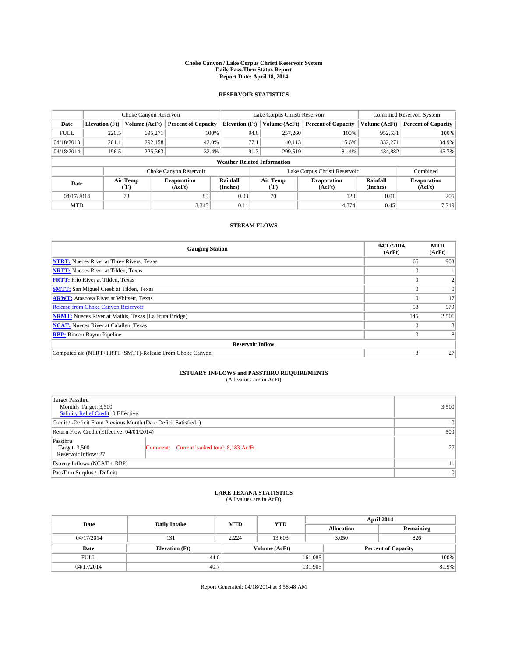#### **Choke Canyon / Lake Corpus Christi Reservoir System Daily Pass-Thru Status Report Report Date: April 18, 2014**

### **RESERVOIR STATISTICS**

|             | Choke Canyon Reservoir |                  |                              |                                    | Lake Corpus Christi Reservoir                    | <b>Combined Reservoir System</b> |                      |                              |
|-------------|------------------------|------------------|------------------------------|------------------------------------|--------------------------------------------------|----------------------------------|----------------------|------------------------------|
| Date        | <b>Elevation</b> (Ft)  | Volume (AcFt)    | <b>Percent of Capacity</b>   | <b>Elevation (Ft)</b>              | Volume (AcFt)                                    | <b>Percent of Capacity</b>       | Volume (AcFt)        | <b>Percent of Capacity</b>   |
| <b>FULL</b> | 220.5                  | 695,271          | 100%                         | 94.0                               | 257,260                                          | 100%                             | 952,531              | 100%                         |
| 04/18/2013  | 201.1                  | 292,158          | 42.0%                        | 77.1                               | 40,113                                           | 15.6%                            | 332,271              | 34.9%                        |
| 04/18/2014  | 196.5                  | 225,363          | 32.4%                        | 91.3                               | 209,519                                          | 81.4%                            | 434,882              | 45.7%                        |
|             |                        |                  |                              | <b>Weather Related Information</b> |                                                  |                                  |                      |                              |
|             |                        |                  | Choke Canyon Reservoir       |                                    |                                                  | Lake Corpus Christi Reservoir    |                      | Combined                     |
| Date        |                        | Air Temp<br>(°F) | <b>Evaporation</b><br>(AcFt) | Rainfall<br>(Inches)               | Air Temp<br><b>Evaporation</b><br>(AcFt)<br>(°F) |                                  | Rainfall<br>(Inches) | <b>Evaporation</b><br>(AcFt) |
| 04/17/2014  |                        | 73               | 85                           | 0.03                               | 70                                               | 120                              | 0.01                 | 205                          |
| <b>MTD</b>  |                        |                  | 3.345                        | 0.11                               |                                                  | 4,374                            | 0.45                 | 7.719                        |

## **STREAM FLOWS**

| <b>Gauging Station</b>                                       | 04/17/2014<br>(AcFt) | <b>MTD</b><br>(AcFt) |  |  |  |  |
|--------------------------------------------------------------|----------------------|----------------------|--|--|--|--|
| <b>NTRT:</b> Nueces River at Three Rivers, Texas             | 66                   | 903                  |  |  |  |  |
| <b>NRTT:</b> Nueces River at Tilden, Texas                   |                      |                      |  |  |  |  |
| <b>FRTT:</b> Frio River at Tilden, Texas                     |                      |                      |  |  |  |  |
| <b>SMTT:</b> San Miguel Creek at Tilden, Texas               |                      | $\Omega$             |  |  |  |  |
| <b>ARWT:</b> Atascosa River at Whitsett, Texas               |                      | 17                   |  |  |  |  |
| <b>Release from Choke Canyon Reservoir</b>                   | 58                   | 979                  |  |  |  |  |
| <b>NRMT:</b> Nueces River at Mathis, Texas (La Fruta Bridge) | 145                  | 2,501                |  |  |  |  |
| <b>NCAT:</b> Nueces River at Calallen, Texas                 |                      |                      |  |  |  |  |
| <b>RBP:</b> Rincon Bayou Pipeline                            | 0                    |                      |  |  |  |  |
| <b>Reservoir Inflow</b>                                      |                      |                      |  |  |  |  |
| Computed as: (NTRT+FRTT+SMTT)-Release From Choke Canyon      | 8                    | 27                   |  |  |  |  |

# **ESTUARY INFLOWS and PASSTHRU REQUIREMENTS**<br>(All values are in AcFt)

| Target Passthru<br>Monthly Target: 3,500<br>Salinity Relief Credit: 0 Effective: |                                             | 3,500           |  |  |
|----------------------------------------------------------------------------------|---------------------------------------------|-----------------|--|--|
| Credit / -Deficit From Previous Month (Date Deficit Satisfied: )                 |                                             |                 |  |  |
| Return Flow Credit (Effective: 04/01/2014)                                       |                                             |                 |  |  |
| Passthru<br>Target: 3,500<br>Reservoir Inflow: 27                                | Comment: Current banked total: 8,183 Ac/Ft. | 27 <sup>1</sup> |  |  |
| Estuary Inflows (NCAT + RBP)                                                     |                                             |                 |  |  |
| PassThru Surplus / -Deficit:                                                     |                                             |                 |  |  |

# **LAKE TEXANA STATISTICS** (All values are in AcFt)

| Date        | <b>Daily Intake</b>   | <b>MTD</b> | <b>YTD</b>    | April 2014        |                            |           |  |
|-------------|-----------------------|------------|---------------|-------------------|----------------------------|-----------|--|
|             |                       |            |               | <b>Allocation</b> |                            | Remaining |  |
| 04/17/2014  | 131                   | 2,224      | 13.603        |                   | 3,050<br>826               |           |  |
| Date        | <b>Elevation</b> (Ft) |            | Volume (AcFt) |                   | <b>Percent of Capacity</b> |           |  |
| <b>FULL</b> | 44.0                  |            |               | 161,085           |                            | 100%      |  |
| 04/17/2014  | 40.7                  |            |               | 131,905           |                            | 81.9%     |  |

Report Generated: 04/18/2014 at 8:58:48 AM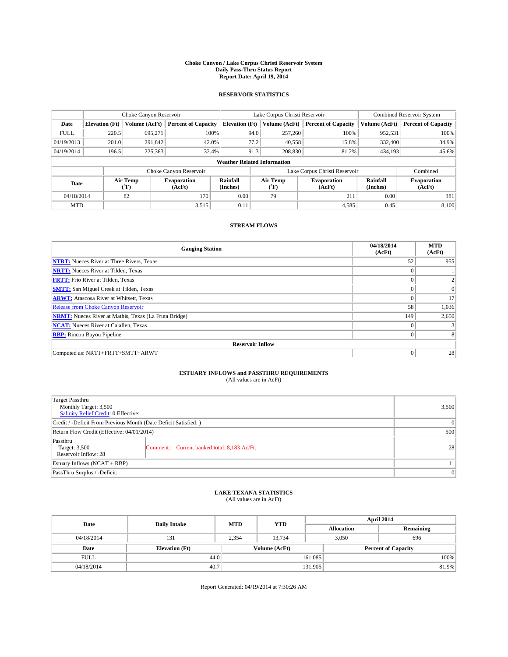#### **Choke Canyon / Lake Corpus Christi Reservoir System Daily Pass-Thru Status Report Report Date: April 19, 2014**

### **RESERVOIR STATISTICS**

|             | Choke Canyon Reservoir |               |                              | Lake Corpus Christi Reservoir      | <b>Combined Reservoir System</b> |                               |                              |                      |                              |
|-------------|------------------------|---------------|------------------------------|------------------------------------|----------------------------------|-------------------------------|------------------------------|----------------------|------------------------------|
| Date        | <b>Elevation</b> (Ft)  | Volume (AcFt) | <b>Percent of Capacity</b>   | <b>Elevation (Ft)</b>              |                                  | Volume (AcFt)                 | <b>Percent of Capacity</b>   | Volume (AcFt)        | <b>Percent of Capacity</b>   |
| <b>FULL</b> | 220.5                  | 695,271       | 100%                         |                                    | 94.0                             | 257,260                       | 100%                         | 952,531              | 100%                         |
| 04/19/2013  | 201.0                  | 291,842       | 42.0%                        |                                    | 77.2                             | 40,558                        | 15.8%                        | 332,400              | 34.9%                        |
| 04/19/2014  | 196.5                  | 225,363       | 32.4%                        |                                    | 91.3                             | 208,830                       | 81.2%                        | 434,193              | 45.6%                        |
|             |                        |               |                              | <b>Weather Related Information</b> |                                  |                               |                              |                      |                              |
|             |                        |               | Choke Canyon Reservoir       |                                    |                                  | Lake Corpus Christi Reservoir |                              | Combined             |                              |
| Date        | Air Temp<br>(°F)       |               | <b>Evaporation</b><br>(AcFt) | Rainfall<br>(Inches)               | Air Temp<br>("F)                 |                               | <b>Evaporation</b><br>(AcFt) | Rainfall<br>(Inches) | <b>Evaporation</b><br>(AcFt) |
| 04/18/2014  |                        | 82            | 170                          | 0.00                               | 79                               |                               | 211                          | 0.00                 | 381                          |
| <b>MTD</b>  |                        |               | 3,515                        | 0.11                               |                                  |                               | 4,585                        | 0.45                 | 8,100                        |

### **STREAM FLOWS**

| <b>Gauging Station</b>                                       | 04/18/2014<br>(AcFt) | <b>MTD</b><br>(AcFt) |
|--------------------------------------------------------------|----------------------|----------------------|
| <b>NTRT:</b> Nueces River at Three Rivers, Texas             | 52                   | 955                  |
| <b>NRTT:</b> Nueces River at Tilden, Texas                   | $\theta$             |                      |
| <b>FRTT:</b> Frio River at Tilden, Texas                     |                      |                      |
| <b>SMTT:</b> San Miguel Creek at Tilden, Texas               | $\theta$             | $\Omega$             |
| <b>ARWT:</b> Atascosa River at Whitsett, Texas               | $\theta$             | 17                   |
| <b>Release from Choke Canyon Reservoir</b>                   | 58                   | 1,036                |
| <b>NRMT:</b> Nueces River at Mathis, Texas (La Fruta Bridge) | 149                  | 2,650                |
| <b>NCAT:</b> Nueces River at Calallen, Texas                 | $\theta$             |                      |
| <b>RBP:</b> Rincon Bayou Pipeline                            | $\theta$             |                      |
| <b>Reservoir Inflow</b>                                      |                      |                      |
| Computed as: NRTT+FRTT+SMTT+ARWT                             | $\Omega$             | 28                   |

# **ESTUARY INFLOWS and PASSTHRU REQUIREMENTS**<br>(All values are in AcFt)

| <b>Target Passthru</b><br>Monthly Target: 3,500<br>Salinity Relief Credit: 0 Effective: |                                             | 3,500 |  |
|-----------------------------------------------------------------------------------------|---------------------------------------------|-------|--|
| Credit / -Deficit From Previous Month (Date Deficit Satisfied: )                        | $\Omega$                                    |       |  |
| Return Flow Credit (Effective: 04/01/2014)                                              |                                             |       |  |
| Passthru<br>Target: 3,500<br>Reservoir Inflow: 28                                       | Comment: Current banked total: 8,183 Ac/Ft. | 28    |  |
| Estuary Inflows (NCAT + RBP)                                                            | 11                                          |       |  |
| PassThru Surplus / -Deficit:                                                            |                                             | 0     |  |

## **LAKE TEXANA STATISTICS** (All values are in AcFt)

| Date        | <b>Daily Intake</b>   | <b>MTD</b> | <b>YTD</b>    | April 2014        |                            |           |  |
|-------------|-----------------------|------------|---------------|-------------------|----------------------------|-----------|--|
|             |                       |            |               | <b>Allocation</b> |                            | Remaining |  |
| 04/18/2014  | 131                   | 2,354      | 13,734        |                   | 3,050<br>696               |           |  |
| Date        | <b>Elevation</b> (Ft) |            | Volume (AcFt) |                   | <b>Percent of Capacity</b> |           |  |
| <b>FULL</b> | 44.0                  |            |               | 161,085           |                            | 100%      |  |
| 04/18/2014  | 40.7                  |            |               | 131,905           |                            | 81.9%     |  |

Report Generated: 04/19/2014 at 7:30:26 AM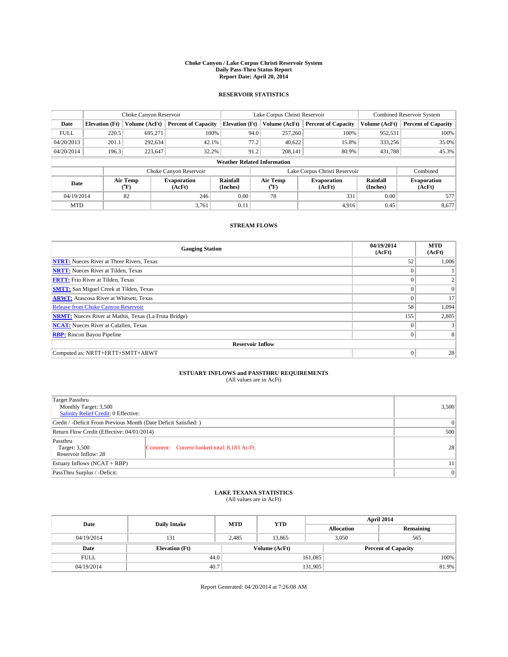#### **Choke Canyon / Lake Corpus Christi Reservoir System Daily Pass-Thru Status Report Report Date: April 20, 2014**

### **RESERVOIR STATISTICS**

|             | Choke Canyon Reservoir |                  |                              |                                    |          | Lake Corpus Christi Reservoir | <b>Combined Reservoir System</b> |                      |                              |
|-------------|------------------------|------------------|------------------------------|------------------------------------|----------|-------------------------------|----------------------------------|----------------------|------------------------------|
| Date        | <b>Elevation</b> (Ft)  | Volume (AcFt)    | <b>Percent of Capacity</b>   | <b>Elevation (Ft)</b>              |          | Volume (AcFt)                 | <b>Percent of Capacity</b>       | Volume (AcFt)        | <b>Percent of Capacity</b>   |
| <b>FULL</b> | 220.5                  | 695,271          | 100%                         |                                    | 94.0     | 257,260                       | 100%                             | 952,531              | 100%                         |
| 04/20/2013  | 201.1                  | 292,634          | 42.1%                        |                                    | 77.2     | 40,622                        | 15.8%                            | 333,256              | 35.0%                        |
| 04/20/2014  | 196.3                  | 223,647          | 32.2%                        |                                    | 91.2     | 208.141                       | 80.9%                            | 431,788              | 45.3%                        |
|             |                        |                  |                              | <b>Weather Related Information</b> |          |                               |                                  |                      |                              |
|             |                        |                  | Choke Canyon Reservoir       |                                    |          |                               | Lake Corpus Christi Reservoir    |                      | Combined                     |
| Date        |                        | Air Temp<br>(°F) | <b>Evaporation</b><br>(AcFt) | Rainfall<br>(Inches)               | Air Temp |                               | <b>Evaporation</b><br>(AcFt)     | Rainfall<br>(Inches) | <b>Evaporation</b><br>(AcFt) |
| 04/19/2014  |                        | 82               | 246                          | 0.00                               |          | 78<br>331                     |                                  | 0.00                 | 577                          |
| <b>MTD</b>  |                        |                  | 3.761                        | 0.11                               |          |                               | 4.916                            | 0.45                 | 8,677                        |

### **STREAM FLOWS**

| <b>Gauging Station</b>                                       | 04/19/2014<br>(AcFt) | <b>MTD</b><br>(AcFt) |
|--------------------------------------------------------------|----------------------|----------------------|
| <b>NTRT:</b> Nueces River at Three Rivers, Texas             | 52                   | 1,006                |
| <b>NRTT:</b> Nueces River at Tilden, Texas                   | $\theta$             |                      |
| <b>FRTT:</b> Frio River at Tilden, Texas                     |                      |                      |
| <b>SMTT:</b> San Miguel Creek at Tilden, Texas               | $\theta$             | $\overline{0}$       |
| <b>ARWT:</b> Atascosa River at Whitsett, Texas               | $\theta$             | 17                   |
| <b>Release from Choke Canyon Reservoir</b>                   | 58                   | 1,094                |
| <b>NRMT:</b> Nueces River at Mathis, Texas (La Fruta Bridge) | 155                  | 2,805                |
| <b>NCAT:</b> Nueces River at Calallen, Texas                 | $\theta$             |                      |
| <b>RBP:</b> Rincon Bayou Pipeline                            | $\theta$             |                      |
| <b>Reservoir Inflow</b>                                      |                      |                      |
| Computed as: NRTT+FRTT+SMTT+ARWT                             | $\Omega$             | 28                   |

# **ESTUARY INFLOWS and PASSTHRU REQUIREMENTS**<br>(All values are in AcFt)

| Target Passthru<br>Monthly Target: 3,500<br>Salinity Relief Credit: 0 Effective: |                                             | 3,500    |  |  |
|----------------------------------------------------------------------------------|---------------------------------------------|----------|--|--|
| Credit / -Deficit From Previous Month (Date Deficit Satisfied: )                 |                                             |          |  |  |
| Return Flow Credit (Effective: 04/01/2014)                                       |                                             |          |  |  |
| Passthru<br>Target: 3,500<br>Reservoir Inflow: 28                                | Comment: Current banked total: 8,183 Ac/Ft. | 28       |  |  |
| Estuary Inflows (NCAT + RBP)                                                     |                                             |          |  |  |
| PassThru Surplus / -Deficit:                                                     |                                             | $\Omega$ |  |  |

# **LAKE TEXANA STATISTICS** (All values are in AcFt)

| Date        | <b>Daily Intake</b>   | <b>MTD</b> | <b>YTD</b>    | April 2014        |                            |           |  |
|-------------|-----------------------|------------|---------------|-------------------|----------------------------|-----------|--|
|             |                       |            |               | <b>Allocation</b> |                            | Remaining |  |
| 04/19/2014  | 131                   | 2,485      | 13.865        |                   | 3,050<br>565               |           |  |
| Date        | <b>Elevation</b> (Ft) |            | Volume (AcFt) |                   | <b>Percent of Capacity</b> |           |  |
| <b>FULL</b> | 44.0                  |            |               | 161,085           |                            | 100%      |  |
| 04/19/2014  | 40.7                  |            |               | 131,905           |                            | 81.9%     |  |

Report Generated: 04/20/2014 at 7:26:08 AM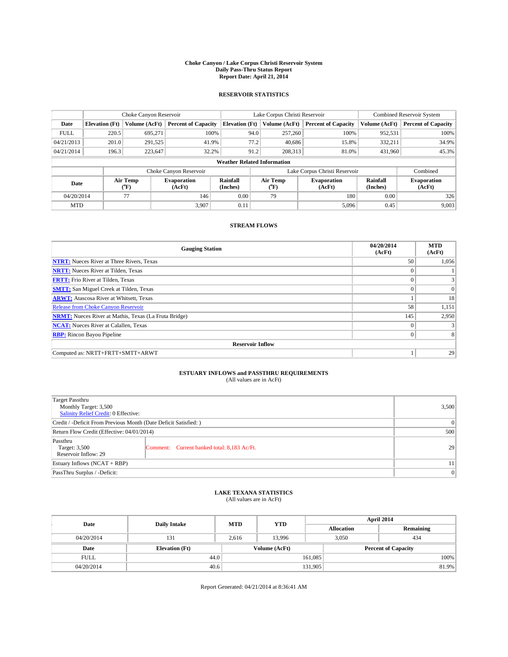#### **Choke Canyon / Lake Corpus Christi Reservoir System Daily Pass-Thru Status Report Report Date: April 21, 2014**

### **RESERVOIR STATISTICS**

|             | Choke Canyon Reservoir |                  |                              | Lake Corpus Christi Reservoir      | <b>Combined Reservoir System</b> |               |                               |                      |                              |
|-------------|------------------------|------------------|------------------------------|------------------------------------|----------------------------------|---------------|-------------------------------|----------------------|------------------------------|
| Date        | <b>Elevation</b> (Ft)  | Volume (AcFt)    | <b>Percent of Capacity</b>   | <b>Elevation (Ft)</b>              |                                  | Volume (AcFt) | <b>Percent of Capacity</b>    | Volume (AcFt)        | <b>Percent of Capacity</b>   |
| <b>FULL</b> | 220.5                  | 695,271          | 100%                         |                                    | 94.0                             | 257,260       | 100%                          | 952,531              | 100%                         |
| 04/21/2013  | 201.0                  | 291,525          | 41.9%                        |                                    | 77.2                             | 40,686        | 15.8%                         | 332,211              | 34.9%                        |
| 04/21/2014  | 196.3                  | 223,647          | 32.2%                        |                                    | 91.2                             | 208.313       | 81.0%                         | 431,960              | 45.3%                        |
|             |                        |                  |                              | <b>Weather Related Information</b> |                                  |               |                               |                      |                              |
|             |                        |                  | Choke Canyon Reservoir       |                                    |                                  |               | Lake Corpus Christi Reservoir |                      | Combined                     |
| Date        |                        | Air Temp<br>(°F) | <b>Evaporation</b><br>(AcFt) | Rainfall<br>(Inches)               | Air Temp<br>("F)                 |               | <b>Evaporation</b><br>(AcFt)  | Rainfall<br>(Inches) | <b>Evaporation</b><br>(AcFt) |
| 04/20/2014  |                        | 77               | 146                          | 0.00                               |                                  | 79<br>180     |                               | 0.00                 | 326                          |
| <b>MTD</b>  |                        |                  | 3.907                        | 0.11                               |                                  |               | 5,096                         | 0.45                 | 9,003                        |

### **STREAM FLOWS**

| <b>Gauging Station</b>                                       | 04/20/2014<br>(AcFt) | <b>MTD</b><br>(AcFt) |
|--------------------------------------------------------------|----------------------|----------------------|
| <b>NTRT:</b> Nueces River at Three Rivers, Texas             | 50                   | 1,056                |
| <b>NRTT:</b> Nueces River at Tilden, Texas                   | $\theta$             |                      |
| <b>FRTT:</b> Frio River at Tilden, Texas                     |                      |                      |
| <b>SMTT:</b> San Miguel Creek at Tilden, Texas               | $\theta$             | $\overline{0}$       |
| <b>ARWT:</b> Atascosa River at Whitsett, Texas               |                      | 18                   |
| <b>Release from Choke Canyon Reservoir</b>                   | 58                   | 1,151                |
| <b>NRMT:</b> Nueces River at Mathis, Texas (La Fruta Bridge) | 145                  | 2,950                |
| <b>NCAT:</b> Nueces River at Calallen, Texas                 | $\theta$             |                      |
| <b>RBP:</b> Rincon Bayou Pipeline                            | $\theta$             |                      |
| <b>Reservoir Inflow</b>                                      |                      |                      |
| Computed as: NRTT+FRTT+SMTT+ARWT                             |                      | 29                   |

# **ESTUARY INFLOWS and PASSTHRU REQUIREMENTS**<br>(All values are in AcFt)

| <b>Target Passthru</b><br>Monthly Target: 3,500<br>Salinity Relief Credit: 0 Effective: |                                                                  | 3,500 |  |  |  |
|-----------------------------------------------------------------------------------------|------------------------------------------------------------------|-------|--|--|--|
|                                                                                         | Credit / -Deficit From Previous Month (Date Deficit Satisfied: ) |       |  |  |  |
| Return Flow Credit (Effective: 04/01/2014)                                              |                                                                  |       |  |  |  |
| Passthru<br>Target: 3,500<br>Reservoir Inflow: 29                                       | Comment: Current banked total: 8,183 Ac/Ft.                      | 29    |  |  |  |
| Estuary Inflows (NCAT + RBP)                                                            | 11                                                               |       |  |  |  |
| PassThru Surplus / -Deficit:                                                            |                                                                  |       |  |  |  |

# **LAKE TEXANA STATISTICS** (All values are in AcFt)

| Date        | <b>Daily Intake</b>   | <b>MTD</b> | <b>YTD</b>    | April 2014        |                            |           |  |
|-------------|-----------------------|------------|---------------|-------------------|----------------------------|-----------|--|
|             |                       |            |               | <b>Allocation</b> |                            | Remaining |  |
| 04/20/2014  | 131                   | 2,616      | 13.996        |                   | 3,050<br>434               |           |  |
| Date        | <b>Elevation</b> (Ft) |            | Volume (AcFt) |                   | <b>Percent of Capacity</b> |           |  |
| <b>FULL</b> | 44.0                  |            |               | 161,085           |                            | 100%      |  |
| 04/20/2014  | 40.6                  |            |               | 131,905           |                            | 81.9%     |  |

Report Generated: 04/21/2014 at 8:36:41 AM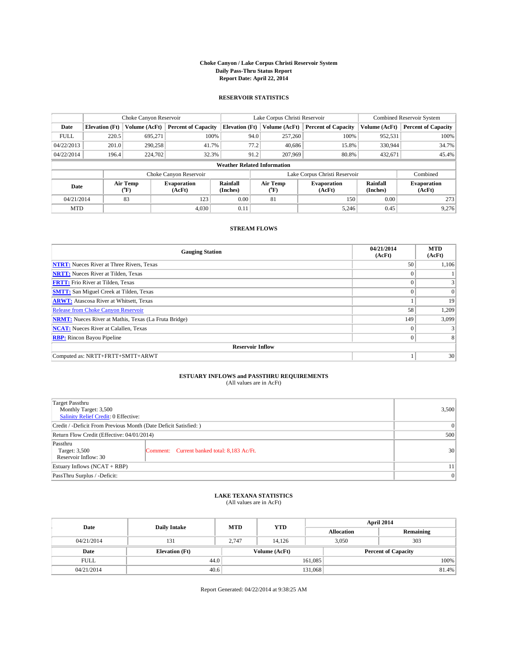#### **Choke Canyon / Lake Corpus Christi Reservoir System Daily Pass-Thru Status Report Report Date: April 22, 2014**

### **RESERVOIR STATISTICS**

|             |                                    | Choke Canyon Reservoir |                              |                       | Lake Corpus Christi Reservoir | Combined Reservoir System     |                      |                              |  |
|-------------|------------------------------------|------------------------|------------------------------|-----------------------|-------------------------------|-------------------------------|----------------------|------------------------------|--|
| Date        | <b>Elevation</b> (Ft)              | Volume (AcFt)          | <b>Percent of Capacity</b>   | <b>Elevation (Ft)</b> | Volume (AcFt)                 | <b>Percent of Capacity</b>    | Volume (AcFt)        | <b>Percent of Capacity</b>   |  |
| <b>FULL</b> | 220.5                              | 695,271                | 100%                         | 94.0                  | 257,260                       | 100%                          | 952,531              | 100%                         |  |
| 04/22/2013  | 201.0                              | 290,258                | 41.7%                        | 77.2                  | 40.686                        | 15.8%                         | 330,944              | 34.7%                        |  |
| 04/22/2014  | 196.4                              | 224,702                | 32.3%                        | 91.2                  | 207,969                       | 80.8%                         | 432.671              | 45.4%                        |  |
|             | <b>Weather Related Information</b> |                        |                              |                       |                               |                               |                      |                              |  |
|             |                                    |                        | Choke Canyon Reservoir       |                       |                               | Lake Corpus Christi Reservoir |                      | Combined                     |  |
| Date        |                                    | Air Temp<br>(°F)       | <b>Evaporation</b><br>(AcFt) | Rainfall<br>(Inches)  | Air Temp<br>("F)              | <b>Evaporation</b><br>(AcFt)  | Rainfall<br>(Inches) | <b>Evaporation</b><br>(AcFt) |  |
| 04/21/2014  |                                    | 83                     | 123                          | 0.00                  | 81                            |                               | 0.00                 | 273                          |  |
| <b>MTD</b>  |                                    |                        | 4,030                        | 0.11                  |                               | 5,246                         | 0.45                 | 9,276                        |  |

### **STREAM FLOWS**

| <b>Gauging Station</b>                                       | 04/21/2014<br>(AcFt) | <b>MTD</b><br>(AcFt) |
|--------------------------------------------------------------|----------------------|----------------------|
| <b>NTRT:</b> Nueces River at Three Rivers, Texas             | 50                   | 1,106                |
| <b>NRTT:</b> Nueces River at Tilden, Texas                   |                      |                      |
| <b>FRTT:</b> Frio River at Tilden, Texas                     |                      | 3                    |
| <b>SMTT:</b> San Miguel Creek at Tilden, Texas               | $\theta$             | $\Omega$             |
| <b>ARWT:</b> Atascosa River at Whitsett, Texas               |                      | 19                   |
| <b>Release from Choke Canyon Reservoir</b>                   | 58                   | 1,209                |
| <b>NRMT:</b> Nueces River at Mathis, Texas (La Fruta Bridge) | 149                  | 3,099                |
| <b>NCAT:</b> Nueces River at Calallen, Texas                 | $\Omega$             |                      |
| <b>RBP:</b> Rincon Bayou Pipeline                            | $\theta$             | 8                    |
| <b>Reservoir Inflow</b>                                      |                      |                      |
| Computed as: NRTT+FRTT+SMTT+ARWT                             |                      | 30                   |

## **ESTUARY INFLOWS and PASSTHRU REQUIREMENTS**<br>(All values are in AcFt)

| Target Passthru<br>Monthly Target: 3,500                         |                                             | 3,500 |  |  |  |  |
|------------------------------------------------------------------|---------------------------------------------|-------|--|--|--|--|
| Salinity Relief Credit: 0 Effective:                             |                                             |       |  |  |  |  |
| Credit / -Deficit From Previous Month (Date Deficit Satisfied: ) | $\theta$                                    |       |  |  |  |  |
| Return Flow Credit (Effective: 04/01/2014)                       | 500                                         |       |  |  |  |  |
| Passthru<br>Target: 3,500<br>Reservoir Inflow: 30                | Comment: Current banked total: 8,183 Ac/Ft. | 30    |  |  |  |  |
| Estuary Inflows $(NCAT + RBP)$                                   |                                             | 11    |  |  |  |  |
| PassThru Surplus / -Deficit:                                     | $\mathbf{0}$                                |       |  |  |  |  |

### **LAKE TEXANA STATISTICS** (All values are in AcFt)

| Date        | <b>Daily Intake</b>   | <b>MTD</b> | <b>YTD</b>    | April 2014        |              |                            |       |
|-------------|-----------------------|------------|---------------|-------------------|--------------|----------------------------|-------|
|             |                       |            |               | <b>Allocation</b> |              | Remaining                  |       |
| 04/21/2014  | 131                   | 2.747      | 14.126        |                   | 303<br>3,050 |                            |       |
| Date        | <b>Elevation</b> (Ft) |            | Volume (AcFt) |                   |              | <b>Percent of Capacity</b> |       |
| <b>FULL</b> | 44.0                  |            |               | 161.085           |              |                            | 100%  |
| 04/21/2014  | 40.6                  |            |               | 131,068           |              |                            | 81.4% |

Report Generated: 04/22/2014 at 9:38:25 AM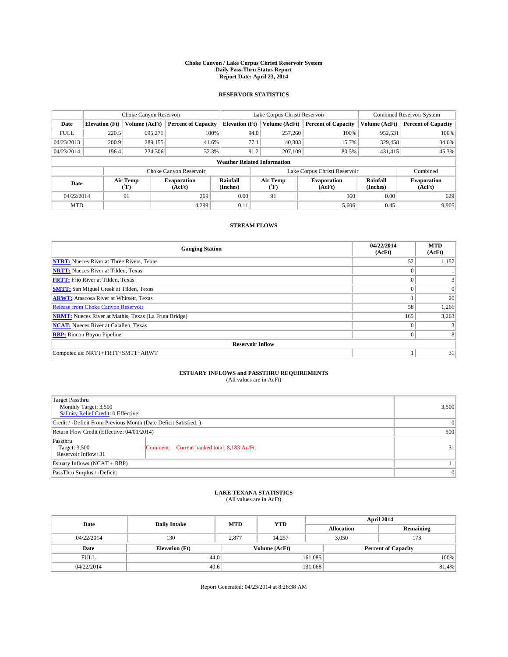#### **Choke Canyon / Lake Corpus Christi Reservoir System Daily Pass-Thru Status Report Report Date: April 23, 2014**

### **RESERVOIR STATISTICS**

|             | Choke Canyon Reservoir             |                  |                            |                       | Lake Corpus Christi Reservoir |                  |                               |                      | <b>Combined Reservoir System</b> |  |  |
|-------------|------------------------------------|------------------|----------------------------|-----------------------|-------------------------------|------------------|-------------------------------|----------------------|----------------------------------|--|--|
| Date        | <b>Elevation</b> (Ft)              | Volume (AcFt)    | <b>Percent of Capacity</b> | <b>Elevation (Ft)</b> |                               | Volume (AcFt)    | <b>Percent of Capacity</b>    | Volume (AcFt)        | Percent of Capacity              |  |  |
| <b>FULL</b> | 220.5                              | 695,271          | 100%                       |                       | 94.0                          | 257,260          | 100%                          | 952,531              | 100%                             |  |  |
| 04/23/2013  | 200.9                              | 289,155          | 41.6%                      |                       | 77.1                          | 40,303           | 15.7%                         | 329,458              | 34.6%                            |  |  |
| 04/23/2014  | 196.4                              | 224,306          | 32.3%                      |                       | 91.2                          | 207,109          | 80.5%                         | 431.415              | 45.3%                            |  |  |
|             | <b>Weather Related Information</b> |                  |                            |                       |                               |                  |                               |                      |                                  |  |  |
|             |                                    |                  | Choke Canyon Reservoir     |                       |                               |                  | Lake Corpus Christi Reservoir |                      | Combined                         |  |  |
| Date        |                                    | Air Temp<br>(°F) | Evaporation<br>(AcFt)      | Rainfall<br>(Inches)  |                               | Air Temp<br>("F) | <b>Evaporation</b><br>(AcFt)  | Rainfall<br>(Inches) | <b>Evaporation</b><br>(AcFt)     |  |  |
| 04/22/2014  |                                    | 91               | 269                        | 0.00                  | 91                            |                  | 360                           | 0.00                 | 629                              |  |  |
| <b>MTD</b>  |                                    |                  | 4.299                      | 0.11                  |                               |                  | 5,606                         | 0.45                 | 9,905                            |  |  |

### **STREAM FLOWS**

| <b>Gauging Station</b>                                       | 04/22/2014<br>(AcFt) | <b>MTD</b><br>(AcFt) |
|--------------------------------------------------------------|----------------------|----------------------|
| <b>NTRT:</b> Nueces River at Three Rivers, Texas             | 52                   | 1,157                |
| <b>NRTT:</b> Nueces River at Tilden, Texas                   | $\theta$             |                      |
| <b>FRTT:</b> Frio River at Tilden, Texas                     |                      |                      |
| <b>SMTT:</b> San Miguel Creek at Tilden, Texas               | $\theta$             | $\overline{0}$       |
| <b>ARWT:</b> Atascosa River at Whitsett, Texas               |                      | 20                   |
| <b>Release from Choke Canyon Reservoir</b>                   | 58                   | 1,266                |
| <b>NRMT:</b> Nueces River at Mathis, Texas (La Fruta Bridge) | 165                  | 3,263                |
| <b>NCAT:</b> Nueces River at Calallen, Texas                 | $\theta$             |                      |
| <b>RBP:</b> Rincon Bayou Pipeline                            | $\theta$             |                      |
| <b>Reservoir Inflow</b>                                      |                      |                      |
| Computed as: NRTT+FRTT+SMTT+ARWT                             |                      | 31                   |

# **ESTUARY INFLOWS and PASSTHRU REQUIREMENTS**<br>(All values are in AcFt)

| Target Passthru<br>Monthly Target: 3,500<br>Salinity Relief Credit: 0 Effective: |                                             | 3,500 |  |  |
|----------------------------------------------------------------------------------|---------------------------------------------|-------|--|--|
| Credit / -Deficit From Previous Month (Date Deficit Satisfied: )                 |                                             |       |  |  |
| Return Flow Credit (Effective: 04/01/2014)                                       |                                             |       |  |  |
| Passthru<br>Target: 3,500<br>Reservoir Inflow: 31                                | Comment: Current banked total: 8,183 Ac/Ft. | 31    |  |  |
| Estuary Inflows (NCAT + RBP)                                                     |                                             |       |  |  |
| PassThru Surplus / -Deficit:                                                     |                                             |       |  |  |

# **LAKE TEXANA STATISTICS** (All values are in AcFt)

| Date        | <b>Daily Intake</b>   | <b>MTD</b>    | <b>YTD</b> | April 2014        |                            |           |  |
|-------------|-----------------------|---------------|------------|-------------------|----------------------------|-----------|--|
|             |                       |               |            | <b>Allocation</b> |                            | Remaining |  |
| 04/22/2014  | 130                   | 2,877         | 14.257     | 3,050             |                            | 173       |  |
| Date        | <b>Elevation</b> (Ft) | Volume (AcFt) |            |                   | <b>Percent of Capacity</b> |           |  |
| <b>FULL</b> | 44.0                  |               |            | 161,085           |                            | 100%      |  |
| 04/22/2014  | 40.6                  |               |            | 131,068           |                            | 81.4%     |  |

Report Generated: 04/23/2014 at 8:26:38 AM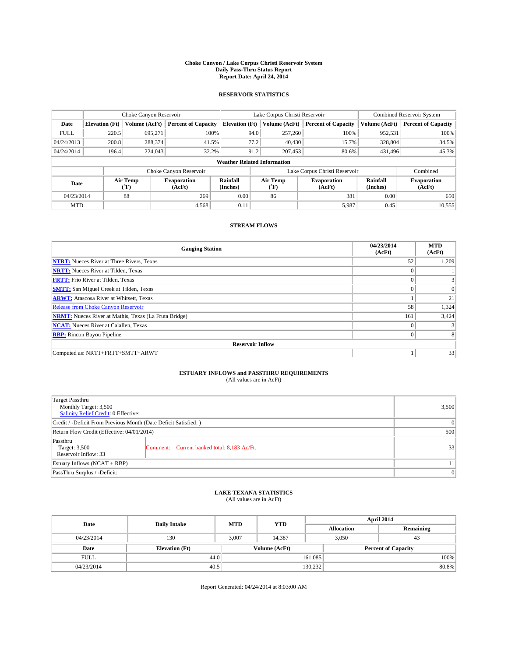#### **Choke Canyon / Lake Corpus Christi Reservoir System Daily Pass-Thru Status Report Report Date: April 24, 2014**

### **RESERVOIR STATISTICS**

|             | Choke Canyon Reservoir             |                  |                            |                       | Lake Corpus Christi Reservoir |                  |                               |                      | <b>Combined Reservoir System</b> |  |  |
|-------------|------------------------------------|------------------|----------------------------|-----------------------|-------------------------------|------------------|-------------------------------|----------------------|----------------------------------|--|--|
| Date        | <b>Elevation</b> (Ft)              | Volume (AcFt)    | <b>Percent of Capacity</b> | <b>Elevation (Ft)</b> |                               | Volume (AcFt)    | <b>Percent of Capacity</b>    | Volume (AcFt)        | Percent of Capacity              |  |  |
| <b>FULL</b> | 220.5                              | 695,271          | 100%                       |                       | 94.0                          | 257,260          | 100%                          | 952,531              | 100%                             |  |  |
| 04/24/2013  | 200.8                              | 288,374          | 41.5%                      |                       | 77.2                          | 40,430           | 15.7%                         | 328,804              | 34.5%                            |  |  |
| 04/24/2014  | 196.4                              | 224,043          | 32.2%                      |                       | 91.2                          | 207,453          | 80.6%                         | 431.496              | 45.3%                            |  |  |
|             | <b>Weather Related Information</b> |                  |                            |                       |                               |                  |                               |                      |                                  |  |  |
|             |                                    |                  | Choke Canyon Reservoir     |                       |                               |                  | Lake Corpus Christi Reservoir |                      | Combined                         |  |  |
| Date        |                                    | Air Temp<br>(°F) | Evaporation<br>(AcFt)      | Rainfall<br>(Inches)  |                               | Air Temp<br>("F) | <b>Evaporation</b><br>(AcFt)  | Rainfall<br>(Inches) | <b>Evaporation</b><br>(AcFt)     |  |  |
| 04/23/2014  |                                    | 88               | 269                        | 0.00                  | 86                            |                  | 381<br>0.00                   |                      | 650                              |  |  |
| <b>MTD</b>  |                                    |                  | 4.568                      | 0.11                  |                               |                  | 5,987                         | 0.45                 | 10,555                           |  |  |

## **STREAM FLOWS**

| <b>Gauging Station</b>                                       | 04/23/2014<br>(AcFt) | <b>MTD</b><br>(AcFt) |
|--------------------------------------------------------------|----------------------|----------------------|
| <b>NTRT:</b> Nueces River at Three Rivers, Texas             | 52                   | 1,209                |
| <b>NRTT:</b> Nueces River at Tilden, Texas                   | $\theta$             |                      |
| <b>FRTT:</b> Frio River at Tilden, Texas                     |                      |                      |
| <b>SMTT:</b> San Miguel Creek at Tilden, Texas               | $\theta$             | $\Omega$             |
| <b>ARWT:</b> Atascosa River at Whitsett, Texas               |                      | 21                   |
| <b>Release from Choke Canyon Reservoir</b>                   | 58                   | 1,324                |
| <b>NRMT:</b> Nueces River at Mathis, Texas (La Fruta Bridge) | 161                  | 3,424                |
| <b>NCAT:</b> Nueces River at Calallen, Texas                 | $\theta$             |                      |
| <b>RBP:</b> Rincon Bayou Pipeline                            | $\theta$             |                      |
| <b>Reservoir Inflow</b>                                      |                      |                      |
| Computed as: NRTT+FRTT+SMTT+ARWT                             |                      | 33                   |

# **ESTUARY INFLOWS and PASSTHRU REQUIREMENTS**<br>(All values are in AcFt)

| <b>Target Passthru</b><br>Monthly Target: 3,500<br>Salinity Relief Credit: 0 Effective: |                                             | 3,500 |  |  |
|-----------------------------------------------------------------------------------------|---------------------------------------------|-------|--|--|
| Credit / -Deficit From Previous Month (Date Deficit Satisfied: )                        |                                             |       |  |  |
| Return Flow Credit (Effective: 04/01/2014)                                              |                                             |       |  |  |
| Passthru<br>Target: 3,500<br>Reservoir Inflow: 33                                       | Comment: Current banked total: 8,183 Ac/Ft. | 33    |  |  |
| Estuary Inflows (NCAT + RBP)                                                            |                                             | 11    |  |  |
| PassThru Surplus / -Deficit:                                                            |                                             |       |  |  |

## **LAKE TEXANA STATISTICS** (All values are in AcFt)

| Date        | <b>Daily Intake</b>   | <b>MTD</b> | <b>YTD</b>    | April 2014        |                            |           |  |
|-------------|-----------------------|------------|---------------|-------------------|----------------------------|-----------|--|
|             |                       |            |               | <b>Allocation</b> |                            | Remaining |  |
| 04/23/2014  | 130                   | 3,007      | 14,387        |                   | 3,050<br>43                |           |  |
| Date        | <b>Elevation</b> (Ft) |            | Volume (AcFt) |                   | <b>Percent of Capacity</b> |           |  |
| <b>FULL</b> | 44.0                  |            |               | 161,085           |                            | 100%      |  |
| 04/23/2014  | 40.5                  |            |               | 130,232           |                            | 80.8%     |  |

Report Generated: 04/24/2014 at 8:03:00 AM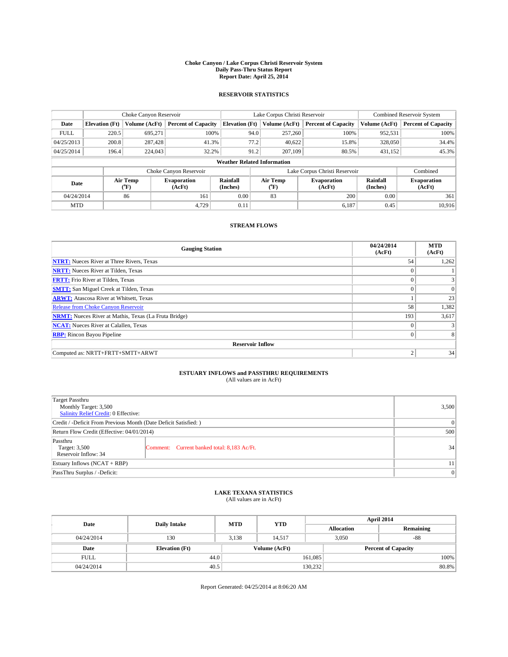#### **Choke Canyon / Lake Corpus Christi Reservoir System Daily Pass-Thru Status Report Report Date: April 25, 2014**

### **RESERVOIR STATISTICS**

|                                                                           | Choke Canyon Reservoir             |               |                            |                       | Lake Corpus Christi Reservoir |                      |                               |               | <b>Combined Reservoir System</b> |  |  |
|---------------------------------------------------------------------------|------------------------------------|---------------|----------------------------|-----------------------|-------------------------------|----------------------|-------------------------------|---------------|----------------------------------|--|--|
| Date                                                                      | <b>Elevation</b> (Ft)              | Volume (AcFt) | <b>Percent of Capacity</b> | <b>Elevation (Ft)</b> |                               | Volume (AcFt)        | <b>Percent of Capacity</b>    | Volume (AcFt) | Percent of Capacity              |  |  |
| <b>FULL</b>                                                               | 220.5                              | 695,271       | 100%                       |                       | 94.0                          | 257,260              | 100%                          | 952,531       | 100%                             |  |  |
| 04/25/2013                                                                | 200.8                              | 287,428       | 41.3%                      |                       | 77.2                          | 40,622               | 15.8%                         | 328,050       | 34.4%                            |  |  |
| 04/25/2014                                                                | 196.4                              | 224,043       | 32.2%                      |                       | 91.2                          | 207,109              | 80.5%                         | 431,152       | 45.3%                            |  |  |
|                                                                           | <b>Weather Related Information</b> |               |                            |                       |                               |                      |                               |               |                                  |  |  |
|                                                                           |                                    |               | Choke Canyon Reservoir     |                       |                               |                      | Lake Corpus Christi Reservoir |               | Combined                         |  |  |
| Air Temp<br>Rainfall<br>Evaporation<br>Date<br>(Inches)<br>(AcFt)<br>(°F) |                                    |               |                            | Air Temp<br>("F)      | <b>Evaporation</b><br>(AcFt)  | Rainfall<br>(Inches) | <b>Evaporation</b><br>(AcFt)  |               |                                  |  |  |
| 04/24/2014                                                                |                                    | 86            | 161                        | 0.00                  | 83                            |                      | 200                           | 0.00          | 361                              |  |  |
| <b>MTD</b>                                                                |                                    |               | 4,729                      | 0.11                  |                               |                      | 6,187                         | 0.45          | 10.916                           |  |  |

### **STREAM FLOWS**

| <b>Gauging Station</b>                                       | 04/24/2014<br>(AcFt) | <b>MTD</b><br>(AcFt) |
|--------------------------------------------------------------|----------------------|----------------------|
| <b>NTRT:</b> Nueces River at Three Rivers, Texas             | 54                   | 1,262                |
| <b>NRTT:</b> Nueces River at Tilden, Texas                   | $\theta$             |                      |
| <b>FRTT:</b> Frio River at Tilden, Texas                     |                      |                      |
| <b>SMTT:</b> San Miguel Creek at Tilden, Texas               | $\theta$             | $\Omega$             |
| <b>ARWT:</b> Atascosa River at Whitsett, Texas               |                      | 23                   |
| <b>Release from Choke Canyon Reservoir</b>                   | 58                   | 1,382                |
| <b>NRMT:</b> Nueces River at Mathis, Texas (La Fruta Bridge) | 193                  | 3,617                |
| <b>NCAT:</b> Nueces River at Calallen, Texas                 | $\theta$             |                      |
| <b>RBP:</b> Rincon Bayou Pipeline                            | $\theta$             |                      |
| <b>Reservoir Inflow</b>                                      |                      |                      |
| Computed as: NRTT+FRTT+SMTT+ARWT                             | $\overline{2}$       | 34                   |

# **ESTUARY INFLOWS and PASSTHRU REQUIREMENTS**<br>(All values are in AcFt)

| Target Passthru<br>Monthly Target: 3,500<br>Salinity Relief Credit: 0 Effective: |                                             | 3,500 |
|----------------------------------------------------------------------------------|---------------------------------------------|-------|
| Credit / -Deficit From Previous Month (Date Deficit Satisfied: )                 | $\Omega$                                    |       |
| Return Flow Credit (Effective: 04/01/2014)                                       | 500                                         |       |
| Passthru<br>Target: 3,500<br>Reservoir Inflow: 34                                | Comment: Current banked total: 8,183 Ac/Ft. | 34    |
| Estuary Inflows (NCAT + RBP)                                                     | 11                                          |       |
| PassThru Surplus / -Deficit:                                                     | $\Omega$                                    |       |

## **LAKE TEXANA STATISTICS** (All values are in AcFt)

| Date        | <b>Daily Intake</b>   | <b>MTD</b> | <b>YTD</b>    | April 2014        |                |                            |  |  |
|-------------|-----------------------|------------|---------------|-------------------|----------------|----------------------------|--|--|
|             |                       |            |               | <b>Allocation</b> |                | Remaining                  |  |  |
| 04/24/2014  | 130                   | 3,138      | 14.517        |                   | $-88$<br>3,050 |                            |  |  |
| Date        | <b>Elevation</b> (Ft) |            | Volume (AcFt) |                   |                | <b>Percent of Capacity</b> |  |  |
| <b>FULL</b> | 44.0                  |            |               | 161,085           |                | 100%                       |  |  |
| 04/24/2014  | 40.5                  |            |               | 130,232           |                | 80.8%                      |  |  |

Report Generated: 04/25/2014 at 8:06:20 AM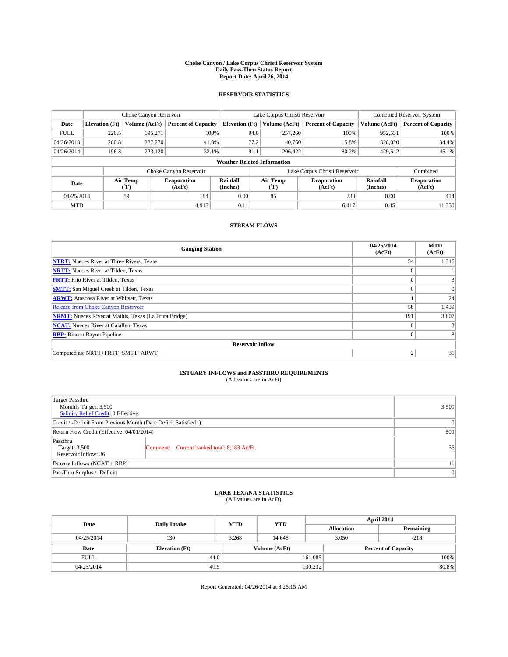#### **Choke Canyon / Lake Corpus Christi Reservoir System Daily Pass-Thru Status Report Report Date: April 26, 2014**

### **RESERVOIR STATISTICS**

|             | Choke Canyon Reservoir                                                                               |               |                            |                              | Lake Corpus Christi Reservoir |                              |                               |               | <b>Combined Reservoir System</b> |  |  |
|-------------|------------------------------------------------------------------------------------------------------|---------------|----------------------------|------------------------------|-------------------------------|------------------------------|-------------------------------|---------------|----------------------------------|--|--|
| Date        | <b>Elevation</b> (Ft)                                                                                | Volume (AcFt) | <b>Percent of Capacity</b> | <b>Elevation (Ft)</b>        |                               | Volume (AcFt)                | <b>Percent of Capacity</b>    | Volume (AcFt) | <b>Percent of Capacity</b>       |  |  |
| <b>FULL</b> | 220.5                                                                                                | 695,271       | 100%                       |                              | 94.0                          | 257,260                      | 100%                          | 952,531       | 100%                             |  |  |
| 04/26/2013  | 200.8                                                                                                | 287,270       | 41.3%                      |                              | 77.2                          | 40,750                       | 15.8%                         | 328,020       | 34.4%                            |  |  |
| 04/26/2014  | 196.3                                                                                                | 223.120       | 32.1%                      |                              | 91.1                          | 206,422                      | 80.2%                         | 429,542       | 45.1%                            |  |  |
|             | <b>Weather Related Information</b>                                                                   |               |                            |                              |                               |                              |                               |               |                                  |  |  |
|             |                                                                                                      |               | Choke Canyon Reservoir     |                              |                               |                              | Lake Corpus Christi Reservoir |               | Combined                         |  |  |
|             | Air Temp<br>Air Temp<br>Rainfall<br><b>Evaporation</b><br>Date<br>(Inches)<br>(AcFt)<br>(°F)<br>("F) |               |                            | <b>Evaporation</b><br>(AcFt) | Rainfall<br>(Inches)          | <b>Evaporation</b><br>(AcFt) |                               |               |                                  |  |  |
| 04/25/2014  |                                                                                                      | 89            | 184                        | 0.00                         | 85<br>230                     |                              | 0.00                          | 414           |                                  |  |  |
| <b>MTD</b>  |                                                                                                      |               | 4.913                      | 0.11                         |                               |                              | 6.417                         | 0.45          | 11,330                           |  |  |

### **STREAM FLOWS**

| <b>Gauging Station</b>                                       | 04/25/2014<br>(AcFt) | <b>MTD</b><br>(AcFt) |
|--------------------------------------------------------------|----------------------|----------------------|
| <b>NTRT:</b> Nueces River at Three Rivers, Texas             | 54                   | 1,316                |
| <b>NRTT:</b> Nueces River at Tilden, Texas                   | $\theta$             |                      |
| <b>FRTT:</b> Frio River at Tilden, Texas                     |                      |                      |
| <b>SMTT:</b> San Miguel Creek at Tilden, Texas               | $\theta$             | $\overline{0}$       |
| <b>ARWT:</b> Atascosa River at Whitsett, Texas               |                      | 24                   |
| <b>Release from Choke Canyon Reservoir</b>                   | 58                   | 1,439                |
| <b>NRMT:</b> Nueces River at Mathis, Texas (La Fruta Bridge) | 191                  | 3,807                |
| <b>NCAT:</b> Nueces River at Calallen, Texas                 | $\theta$             |                      |
| <b>RBP:</b> Rincon Bayou Pipeline                            | $\theta$             |                      |
| <b>Reservoir Inflow</b>                                      |                      |                      |
| Computed as: NRTT+FRTT+SMTT+ARWT                             | $\overline{2}$       | 36                   |

# **ESTUARY INFLOWS and PASSTHRU REQUIREMENTS**<br>(All values are in AcFt)

| Target Passthru<br>Monthly Target: 3,500<br>Salinity Relief Credit: 0 Effective: |                                             | 3,500 |  |  |  |
|----------------------------------------------------------------------------------|---------------------------------------------|-------|--|--|--|
| Credit / -Deficit From Previous Month (Date Deficit Satisfied: )                 |                                             |       |  |  |  |
| Return Flow Credit (Effective: 04/01/2014)                                       |                                             |       |  |  |  |
| Passthru<br>Target: 3,500<br>Reservoir Inflow: 36                                | Comment: Current banked total: 8,183 Ac/Ft. | 36    |  |  |  |
| Estuary Inflows (NCAT + RBP)                                                     |                                             |       |  |  |  |
| PassThru Surplus / -Deficit:                                                     | $\Omega$                                    |       |  |  |  |

## **LAKE TEXANA STATISTICS** (All values are in AcFt)

| Date        | <b>Daily Intake</b>   | <b>MTD</b> | <b>YTD</b>    | April 2014        |                 |                            |  |
|-------------|-----------------------|------------|---------------|-------------------|-----------------|----------------------------|--|
|             |                       |            |               | <b>Allocation</b> |                 | Remaining                  |  |
| 04/25/2014  | 130                   | 3,268      | 14.648        |                   | 3,050<br>$-218$ |                            |  |
| Date        | <b>Elevation</b> (Ft) |            | Volume (AcFt) |                   |                 | <b>Percent of Capacity</b> |  |
| <b>FULL</b> | 44.0                  |            |               | 161,085           |                 | 100%                       |  |
| 04/25/2014  | 40.5                  |            |               | 130,232           |                 | 80.8%                      |  |

Report Generated: 04/26/2014 at 8:25:15 AM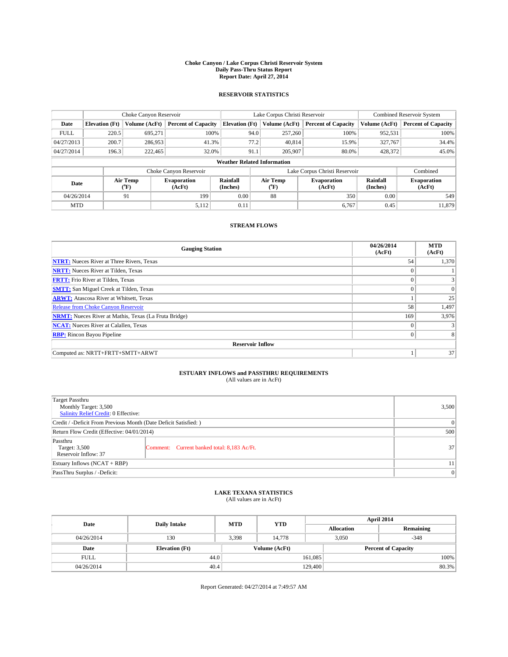#### **Choke Canyon / Lake Corpus Christi Reservoir System Daily Pass-Thru Status Report Report Date: April 27, 2014**

### **RESERVOIR STATISTICS**

|             | Choke Canyon Reservoir                                                                               |               |                              |                       | Lake Corpus Christi Reservoir | <b>Combined Reservoir System</b> |               |                            |  |
|-------------|------------------------------------------------------------------------------------------------------|---------------|------------------------------|-----------------------|-------------------------------|----------------------------------|---------------|----------------------------|--|
| Date        | <b>Elevation</b> (Ft)                                                                                | Volume (AcFt) | <b>Percent of Capacity</b>   | <b>Elevation (Ft)</b> | Volume (AcFt)                 | <b>Percent of Capacity</b>       | Volume (AcFt) | <b>Percent of Capacity</b> |  |
| <b>FULL</b> | 220.5                                                                                                | 695,271       | 100%                         | 94.0                  | 257,260                       | 100%                             | 952,531       | 100%                       |  |
| 04/27/2013  | 200.7                                                                                                | 286,953       | 41.3%                        |                       | 77.2<br>40,814                | 15.9%                            | 327,767       | 34.4%                      |  |
| 04/27/2014  | 196.3                                                                                                | 222,465       | 32.0%                        | 91.1                  | 205,907                       | 80.0%                            | 428,372       | 45.0%                      |  |
|             | <b>Weather Related Information</b>                                                                   |               |                              |                       |                               |                                  |               |                            |  |
|             |                                                                                                      |               | Choke Canyon Reservoir       |                       |                               | Lake Corpus Christi Reservoir    |               | Combined                   |  |
|             | Air Temp<br>Air Temp<br>Rainfall<br><b>Evaporation</b><br>Date<br>(Inches)<br>(AcFt)<br>(°F)<br>("F) |               | <b>Evaporation</b><br>(AcFt) | Rainfall<br>(Inches)  | <b>Evaporation</b><br>(AcFt)  |                                  |               |                            |  |
| 04/26/2014  |                                                                                                      | 91            | 199                          | 0.00                  | 88<br>350                     |                                  | 0.00          | 549                        |  |
| <b>MTD</b>  |                                                                                                      |               | 5,112                        | 0.11                  |                               | 6,767                            | 0.45          | 11.879                     |  |

## **STREAM FLOWS**

| <b>Gauging Station</b>                                       | 04/26/2014<br>(AcFt) | <b>MTD</b><br>(AcFt) |
|--------------------------------------------------------------|----------------------|----------------------|
| <b>NTRT:</b> Nueces River at Three Rivers, Texas             | 54                   | 1,370                |
| <b>NRTT:</b> Nueces River at Tilden, Texas                   | $\theta$             |                      |
| <b>FRTT:</b> Frio River at Tilden, Texas                     |                      |                      |
| <b>SMTT:</b> San Miguel Creek at Tilden, Texas               | $\theta$             | $\Omega$             |
| <b>ARWT:</b> Atascosa River at Whitsett, Texas               |                      | 25                   |
| <b>Release from Choke Canyon Reservoir</b>                   | 58                   | 1,497                |
| <b>NRMT:</b> Nueces River at Mathis, Texas (La Fruta Bridge) | 169                  | 3,976                |
| <b>NCAT:</b> Nueces River at Calallen, Texas                 | $\theta$             |                      |
| <b>RBP:</b> Rincon Bayou Pipeline                            | $\theta$             |                      |
| <b>Reservoir Inflow</b>                                      |                      |                      |
| Computed as: NRTT+FRTT+SMTT+ARWT                             |                      | 37                   |

# **ESTUARY INFLOWS and PASSTHRU REQUIREMENTS**<br>(All values are in AcFt)

| <b>Target Passthru</b><br>Monthly Target: 3,500<br>Salinity Relief Credit: 0 Effective: |                                             | 3,500           |  |  |  |
|-----------------------------------------------------------------------------------------|---------------------------------------------|-----------------|--|--|--|
| Credit / -Deficit From Previous Month (Date Deficit Satisfied: )                        |                                             |                 |  |  |  |
| Return Flow Credit (Effective: 04/01/2014)                                              |                                             |                 |  |  |  |
| Passthru<br>Target: 3,500<br>Reservoir Inflow: 37                                       | Comment: Current banked total: 8,183 Ac/Ft. | 37 <sup>1</sup> |  |  |  |
| Estuary Inflows (NCAT + RBP)                                                            |                                             |                 |  |  |  |
| PassThru Surplus / -Deficit:                                                            | 0                                           |                 |  |  |  |

## **LAKE TEXANA STATISTICS** (All values are in AcFt)

| Date        | <b>Daily Intake</b>   | <b>MTD</b> | <b>YTD</b>    | April 2014        |                            |           |  |
|-------------|-----------------------|------------|---------------|-------------------|----------------------------|-----------|--|
|             |                       |            |               | <b>Allocation</b> |                            | Remaining |  |
| 04/26/2014  | 130                   | 3,398      | 14.778        | 3,050             |                            | $-348$    |  |
| Date        | <b>Elevation</b> (Ft) |            | Volume (AcFt) |                   | <b>Percent of Capacity</b> |           |  |
| <b>FULL</b> | 44.0                  |            |               | 161,085           |                            | 100%      |  |
| 04/26/2014  | 40.4                  |            |               | 129,400           |                            | 80.3%     |  |

Report Generated: 04/27/2014 at 7:49:57 AM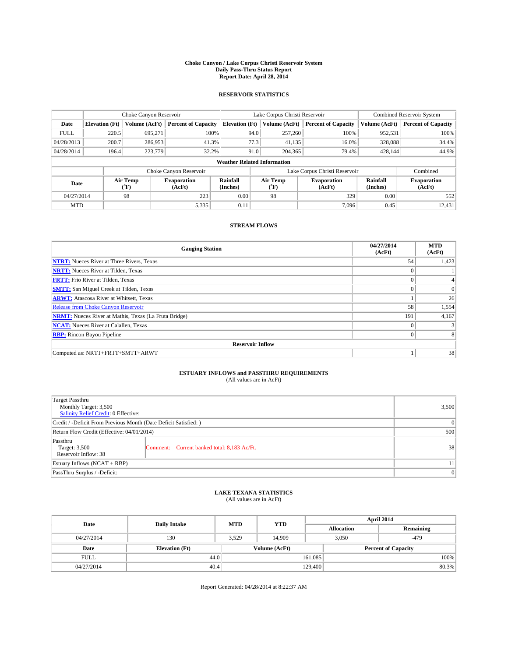#### **Choke Canyon / Lake Corpus Christi Reservoir System Daily Pass-Thru Status Report Report Date: April 28, 2014**

### **RESERVOIR STATISTICS**

|             |                                    | Choke Canyon Reservoir |                              |                       | Lake Corpus Christi Reservoir | Combined Reservoir System     |               |                              |  |
|-------------|------------------------------------|------------------------|------------------------------|-----------------------|-------------------------------|-------------------------------|---------------|------------------------------|--|
| Date        | <b>Elevation</b> (Ft)              | Volume (AcFt)          | <b>Percent of Capacity</b>   | <b>Elevation</b> (Ft) | Volume (AcFt)                 | <b>Percent of Capacity</b>    | Volume (AcFt) | <b>Percent of Capacity</b>   |  |
| <b>FULL</b> | 220.5                              | 695,271                | 100%                         |                       | 94.0<br>257,260               | 100%                          | 952,531       | 100%                         |  |
| 04/28/2013  | 200.7                              | 286,953                | 41.3%                        |                       | 77.3<br>41,135                | 16.0%                         | 328,088       | 34.4%                        |  |
| 04/28/2014  | 196.4                              | 223,779                | 32.2%                        |                       | 91.0<br>204,365               | 79.4%                         | 428.144       | 44.9%                        |  |
|             | <b>Weather Related Information</b> |                        |                              |                       |                               |                               |               |                              |  |
|             |                                    |                        | Choke Canyon Reservoir       |                       |                               | Lake Corpus Christi Reservoir |               | Combined                     |  |
| Date        |                                    | Air Temp<br>(°F)       | <b>Evaporation</b><br>(AcFt) | Rainfall<br>(Inches)  | Air Temp<br>(°F)              | <b>Evaporation</b><br>(AcFt)  |               | <b>Evaporation</b><br>(AcFt) |  |
| 04/27/2014  |                                    | 98                     | 223                          | 0.00                  | 98                            | 329                           | 0.00          | 552                          |  |
| <b>MTD</b>  |                                    |                        | 5,335                        | 0.11                  |                               | 7.096                         | 0.45          | 12,431                       |  |

### **STREAM FLOWS**

| <b>Gauging Station</b>                                       | 04/27/2014<br>(AcFt) | <b>MTD</b><br>(AcFt) |
|--------------------------------------------------------------|----------------------|----------------------|
| <b>NTRT:</b> Nueces River at Three Rivers, Texas             | 54                   | 1,423                |
| <b>NRTT:</b> Nueces River at Tilden, Texas                   | $\theta$             |                      |
| <b>FRTT:</b> Frio River at Tilden, Texas                     |                      |                      |
| <b>SMTT:</b> San Miguel Creek at Tilden, Texas               | $\theta$             | $\overline{0}$       |
| <b>ARWT:</b> Atascosa River at Whitsett, Texas               |                      | 26                   |
| <b>Release from Choke Canyon Reservoir</b>                   | 58                   | 1,554                |
| <b>NRMT:</b> Nueces River at Mathis, Texas (La Fruta Bridge) | 191                  | 4,167                |
| <b>NCAT:</b> Nueces River at Calallen, Texas                 | $\theta$             |                      |
| <b>RBP:</b> Rincon Bayou Pipeline                            | $\theta$             |                      |
| <b>Reservoir Inflow</b>                                      |                      |                      |
| Computed as: NRTT+FRTT+SMTT+ARWT                             |                      | 38                   |

# **ESTUARY INFLOWS and PASSTHRU REQUIREMENTS**<br>(All values are in AcFt)

| Target Passthru<br>Monthly Target: 3,500<br>Salinity Relief Credit: 0 Effective: |                                             | 3,500 |  |  |
|----------------------------------------------------------------------------------|---------------------------------------------|-------|--|--|
| Credit / -Deficit From Previous Month (Date Deficit Satisfied: )                 | $\Omega$                                    |       |  |  |
| Return Flow Credit (Effective: 04/01/2014)                                       | 500                                         |       |  |  |
| Passthru<br>Target: 3,500<br>Reservoir Inflow: 38                                | Comment: Current banked total: 8,183 Ac/Ft. | 38    |  |  |
| Estuary Inflows (NCAT + RBP)                                                     |                                             |       |  |  |
| PassThru Surplus / -Deficit:                                                     | $\Omega$                                    |       |  |  |

# **LAKE TEXANA STATISTICS** (All values are in AcFt)

| Date        | <b>Daily Intake</b>   | <b>MTD</b>    | <b>YTD</b> | April 2014        |                            |           |  |
|-------------|-----------------------|---------------|------------|-------------------|----------------------------|-----------|--|
|             |                       |               |            | <b>Allocation</b> |                            | Remaining |  |
| 04/27/2014  | 130                   | 3,529         | 14.909     |                   | 3,050<br>$-479$            |           |  |
| Date        | <b>Elevation</b> (Ft) | Volume (AcFt) |            |                   | <b>Percent of Capacity</b> |           |  |
| <b>FULL</b> | 44.0                  |               |            | 161,085           |                            | 100%      |  |
| 04/27/2014  | 40.4                  |               |            | 129,400           |                            | 80.3%     |  |

Report Generated: 04/28/2014 at 8:22:37 AM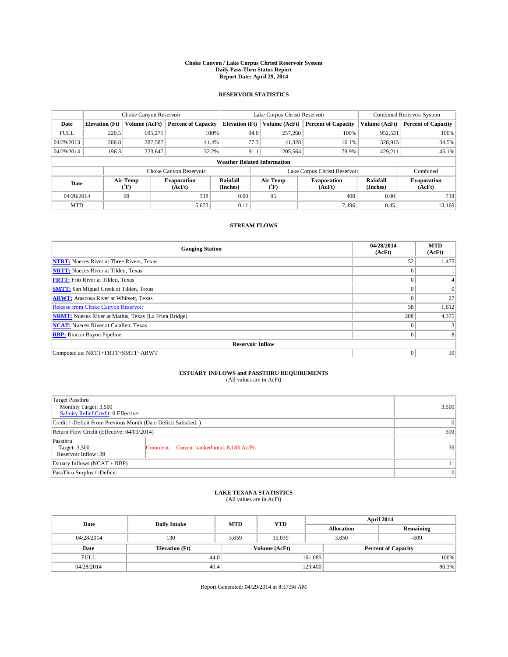#### **Choke Canyon / Lake Corpus Christi Reservoir System Daily Pass-Thru Status Report Report Date: April 29, 2014**

### **RESERVOIR STATISTICS**

|             | Choke Canyon Reservoir             |               |                            |                       | Lake Corpus Christi Reservoir |                  |                               |                      | <b>Combined Reservoir System</b> |  |  |
|-------------|------------------------------------|---------------|----------------------------|-----------------------|-------------------------------|------------------|-------------------------------|----------------------|----------------------------------|--|--|
| Date        | <b>Elevation</b> (Ft)              | Volume (AcFt) | <b>Percent of Capacity</b> | <b>Elevation (Ft)</b> |                               | Volume (AcFt)    | <b>Percent of Capacity</b>    | Volume (AcFt)        | Percent of Capacity              |  |  |
| <b>FULL</b> | 220.5                              | 695,271       | 100%                       |                       | 94.0                          | 257,260          | 100%                          | 952,531              | 100%                             |  |  |
| 04/29/2013  | 200.8                              | 287,587       | 41.4%                      |                       | 77.3                          | 41,328           | 16.1%                         | 328,915              | 34.5%                            |  |  |
| 04/29/2014  | 196.3                              | 223,647       | 32.2%                      |                       | 91.1                          | 205,564          | 79.9%                         | 429.211              | $45.1\%$                         |  |  |
|             | <b>Weather Related Information</b> |               |                            |                       |                               |                  |                               |                      |                                  |  |  |
|             |                                    |               | Choke Canyon Reservoir     |                       |                               |                  | Lake Corpus Christi Reservoir |                      | Combined                         |  |  |
| Date        | Air Temp<br>(°F)                   |               | Evaporation<br>(AcFt)      | Rainfall<br>(Inches)  |                               | Air Temp<br>("F) | <b>Evaporation</b><br>(AcFt)  | Rainfall<br>(Inches) | <b>Evaporation</b><br>(AcFt)     |  |  |
| 04/28/2014  |                                    | 98            | 338                        | 0.00                  |                               | 95               | 400                           | 0.00                 | 738                              |  |  |
| <b>MTD</b>  |                                    |               | 5,673                      | 0.11                  |                               |                  | 7.496                         | 0.45                 | 13,169                           |  |  |

### **STREAM FLOWS**

| <b>Gauging Station</b>                                       | 04/28/2014<br>(AcFt) | <b>MTD</b><br>(AcFt) |
|--------------------------------------------------------------|----------------------|----------------------|
| <b>NTRT:</b> Nueces River at Three Rivers, Texas             | 52                   | 1,475                |
| <b>NRTT:</b> Nueces River at Tilden, Texas                   | $\theta$             |                      |
| <b>FRTT:</b> Frio River at Tilden, Texas                     |                      |                      |
| <b>SMTT:</b> San Miguel Creek at Tilden, Texas               | $\theta$             | $\Omega$             |
| <b>ARWT:</b> Atascosa River at Whitsett, Texas               | $\theta$             | 27                   |
| <b>Release from Choke Canyon Reservoir</b>                   | 58                   | 1,612                |
| <b>NRMT:</b> Nueces River at Mathis, Texas (La Fruta Bridge) | 208                  | 4,375                |
| <b>NCAT:</b> Nueces River at Calallen, Texas                 | $\theta$             |                      |
| <b>RBP:</b> Rincon Bayou Pipeline                            | $\theta$             |                      |
| <b>Reservoir Inflow</b>                                      |                      |                      |
| Computed as: NRTT+FRTT+SMTT+ARWT                             | $\Omega$             | 39                   |

# **ESTUARY INFLOWS and PASSTHRU REQUIREMENTS**<br>(All values are in AcFt)

| Target Passthru<br>Monthly Target: 3,500<br>Salinity Relief Credit: 0 Effective: |                                             |    |  |  |
|----------------------------------------------------------------------------------|---------------------------------------------|----|--|--|
| Credit / -Deficit From Previous Month (Date Deficit Satisfied: )                 | 0                                           |    |  |  |
| Return Flow Credit (Effective: 04/01/2014)                                       | 500                                         |    |  |  |
| Passthru<br>Target: 3,500<br>Reservoir Inflow: 39                                | Comment: Current banked total: 8,183 Ac/Ft. | 39 |  |  |
| Estuary Inflows (NCAT + RBP)                                                     | 11                                          |    |  |  |
| PassThru Surplus / -Deficit:                                                     | 0                                           |    |  |  |

# **LAKE TEXANA STATISTICS** (All values are in AcFt)

| Date        | <b>Daily Intake</b>   | <b>MTD</b> | <b>YTD</b>    | April 2014        |                            |           |  |
|-------------|-----------------------|------------|---------------|-------------------|----------------------------|-----------|--|
|             |                       |            |               | <b>Allocation</b> |                            | Remaining |  |
| 04/28/2014  | 130                   | 3,659      | 15.039        |                   | 3,050<br>$-609$            |           |  |
| Date        | <b>Elevation</b> (Ft) |            | Volume (AcFt) |                   | <b>Percent of Capacity</b> |           |  |
| <b>FULL</b> | 44.0                  |            |               | 161,085           |                            | 100%      |  |
| 04/28/2014  | 40.4                  |            |               | 129,400           |                            | 80.3%     |  |

Report Generated: 04/29/2014 at 8:37:56 AM